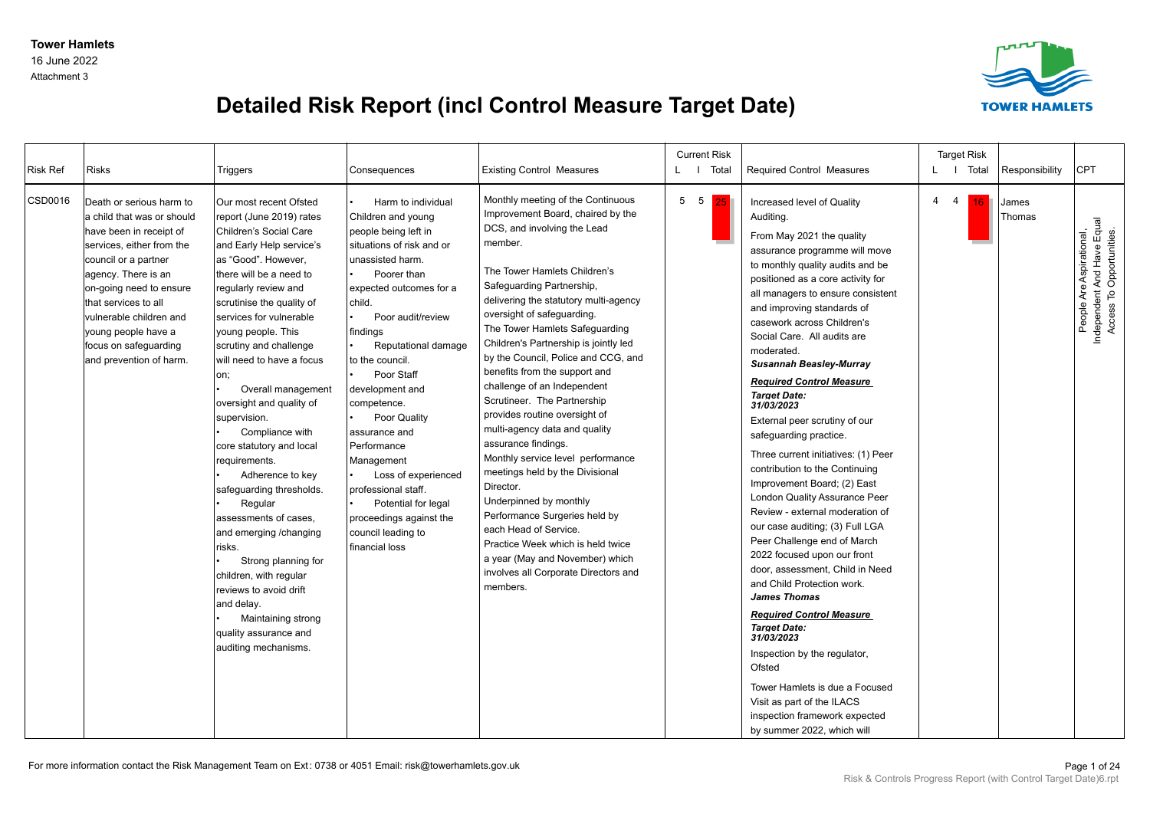Attachment 3



## **Detailed Risk Report (incl Control Measure Target Date)**

| <b>Risk Ref</b> | <b>Risks</b>                                                                                                                                                                                                                                                                                                           | Triggers                                                                                                                                                                                                                                                                                                                                                                                                                                                                                                                                                                                                                                                                                                                                                 | Consequences                                                                                                                                                                                                                                                                                                                                                                                                                                                                                           | <b>Existing Control Measures</b>                                                                                                                                                                                                                                                                                                                                                                                                                                                                                                                                                                                                                                                                                                                                                                                                                                    | <b>Current Risk</b><br>L I Total |    | Required Control Measures                                                                                                                                                                                                                                                                                                                                                                                                                                                                                                                                                                                                                                                                                                                                                                                                                                                                                                                                                                                                                                                                                                      |             | <b>Target Risk</b><br>L   Total | Responsibility  | CPT                                                                                |
|-----------------|------------------------------------------------------------------------------------------------------------------------------------------------------------------------------------------------------------------------------------------------------------------------------------------------------------------------|----------------------------------------------------------------------------------------------------------------------------------------------------------------------------------------------------------------------------------------------------------------------------------------------------------------------------------------------------------------------------------------------------------------------------------------------------------------------------------------------------------------------------------------------------------------------------------------------------------------------------------------------------------------------------------------------------------------------------------------------------------|--------------------------------------------------------------------------------------------------------------------------------------------------------------------------------------------------------------------------------------------------------------------------------------------------------------------------------------------------------------------------------------------------------------------------------------------------------------------------------------------------------|---------------------------------------------------------------------------------------------------------------------------------------------------------------------------------------------------------------------------------------------------------------------------------------------------------------------------------------------------------------------------------------------------------------------------------------------------------------------------------------------------------------------------------------------------------------------------------------------------------------------------------------------------------------------------------------------------------------------------------------------------------------------------------------------------------------------------------------------------------------------|----------------------------------|----|--------------------------------------------------------------------------------------------------------------------------------------------------------------------------------------------------------------------------------------------------------------------------------------------------------------------------------------------------------------------------------------------------------------------------------------------------------------------------------------------------------------------------------------------------------------------------------------------------------------------------------------------------------------------------------------------------------------------------------------------------------------------------------------------------------------------------------------------------------------------------------------------------------------------------------------------------------------------------------------------------------------------------------------------------------------------------------------------------------------------------------|-------------|---------------------------------|-----------------|------------------------------------------------------------------------------------|
| CSD0016         | Death or serious harm to<br>a child that was or should<br>have been in receipt of<br>services, either from the<br>council or a partner<br>agency. There is an<br>on-going need to ensure<br>that services to all<br>vulnerable children and<br>voung people have a<br>focus on safeguarding<br>and prevention of harm. | Our most recent Ofsted<br>report (June 2019) rates<br>Children's Social Care<br>and Early Help service's<br>as "Good". However,<br>there will be a need to<br>regularly review and<br>scrutinise the quality of<br>services for vulnerable<br>young people. This<br>scrutiny and challenge<br>will need to have a focus<br>on;<br>Overall management<br>oversight and quality of<br>supervision.<br>Compliance with<br>core statutory and local<br>requirements.<br>Adherence to key<br>safeguarding thresholds.<br>Regular<br>assessments of cases,<br>and emerging /changing<br>risks.<br>Strong planning for<br>children, with regular<br>reviews to avoid drift<br>and delay.<br>Maintaining strong<br>quality assurance and<br>auditing mechanisms. | Harm to individual<br>Children and young<br>people being left in<br>situations of risk and or<br>unassisted harm.<br>Poorer than<br>expected outcomes for a<br>child.<br>Poor audit/review<br>findings<br>Reputational damage<br>to the council.<br>Poor Staff<br>development and<br>competence.<br>Poor Quality<br>assurance and<br>Performance<br>Management<br>Loss of experienced<br>professional staff.<br>Potential for legal<br>proceedings against the<br>council leading to<br>financial loss | Monthly meeting of the Continuous<br>Improvement Board, chaired by the<br>DCS, and involving the Lead<br>member.<br>The Tower Hamlets Children's<br>Safeguarding Partnership,<br>delivering the statutory multi-agency<br>oversight of safeguarding.<br>The Tower Hamlets Safeguarding<br>Children's Partnership is jointly led<br>by the Council, Police and CCG, and<br>benefits from the support and<br>challenge of an Independent<br>Scrutineer. The Partnership<br>provides routine oversight of<br>multi-agency data and quality<br>assurance findings.<br>Monthly service level performance<br>meetings held by the Divisional<br>Director.<br>Underpinned by monthly<br>Performance Surgeries held by<br>each Head of Service.<br>Practice Week which is held twice<br>a year (May and November) which<br>involves all Corporate Directors and<br>members. | 5 5                              | 25 | Increased level of Quality<br>Auditing.<br>From May 2021 the quality<br>assurance programme will move<br>to monthly quality audits and be<br>positioned as a core activity for<br>all managers to ensure consistent<br>and improving standards of<br>casework across Children's<br>Social Care. All audits are<br>moderated.<br><b>Susannah Beasley-Murray</b><br><b>Required Control Measure</b><br><b>Target Date:</b><br>31/03/2023<br>External peer scrutiny of our<br>safeguarding practice.<br>Three current initiatives: (1) Peer<br>contribution to the Continuing<br>Improvement Board; (2) East<br><b>London Quality Assurance Peer</b><br>Review - external moderation of<br>our case auditing; (3) Full LGA<br>Peer Challenge end of March<br>2022 focused upon our front<br>door, assessment, Child in Need<br>and Child Protection work.<br><b>James Thomas</b><br><b>Required Control Measure</b><br><b>Target Date:</b><br>31/03/2023<br>Inspection by the regulator,<br>Ofsted<br>Tower Hamlets is due a Focused<br>Visit as part of the ILACS<br>inspection framework expected<br>by summer 2022, which will | $4 \quad 4$ | 16                              | James<br>Thomas | Independent And Have Equal<br>Access To Opportunities.<br>People Are Aspirational, |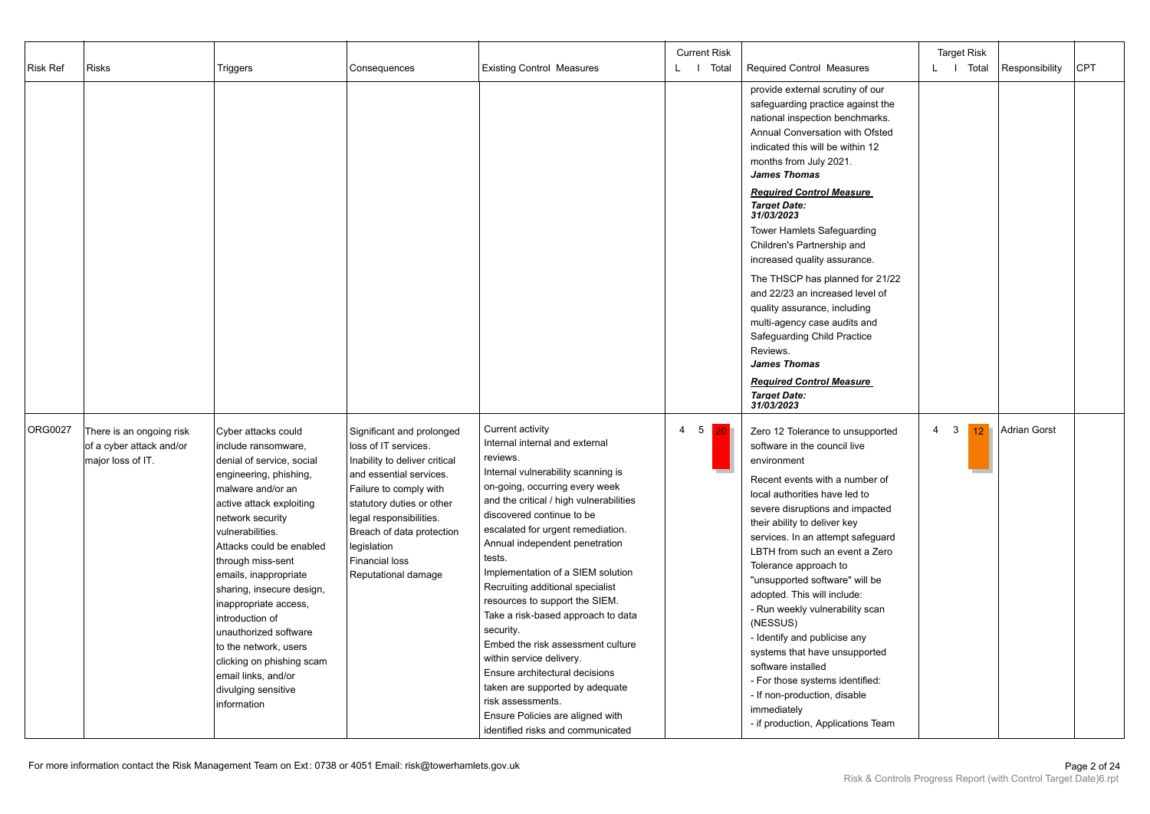|                |                          |                           |                               |                                         | <b>Current Risk</b> |                                               |        | <b>Target Risk</b> |                     |     |
|----------------|--------------------------|---------------------------|-------------------------------|-----------------------------------------|---------------------|-----------------------------------------------|--------|--------------------|---------------------|-----|
| Risk Ref       | Risks                    | Triggers                  | Consequences                  | <b>Existing Control Measures</b>        | L I Total           | <b>Required Control Measures</b>              |        | L   Total          | Responsibility      | CPT |
|                |                          |                           |                               |                                         |                     |                                               |        |                    |                     |     |
|                |                          |                           |                               |                                         |                     | provide external scrutiny of our              |        |                    |                     |     |
|                |                          |                           |                               |                                         |                     | safeguarding practice against the             |        |                    |                     |     |
|                |                          |                           |                               |                                         |                     | national inspection benchmarks.               |        |                    |                     |     |
|                |                          |                           |                               |                                         |                     | Annual Conversation with Ofsted               |        |                    |                     |     |
|                |                          |                           |                               |                                         |                     | indicated this will be within 12              |        |                    |                     |     |
|                |                          |                           |                               |                                         |                     |                                               |        |                    |                     |     |
|                |                          |                           |                               |                                         |                     | months from July 2021.<br><b>James Thomas</b> |        |                    |                     |     |
|                |                          |                           |                               |                                         |                     |                                               |        |                    |                     |     |
|                |                          |                           |                               |                                         |                     | <b>Required Control Measure</b>               |        |                    |                     |     |
|                |                          |                           |                               |                                         |                     | <b>Target Date:</b>                           |        |                    |                     |     |
|                |                          |                           |                               |                                         |                     | 31/03/2023                                    |        |                    |                     |     |
|                |                          |                           |                               |                                         |                     | Tower Hamlets Safeguarding                    |        |                    |                     |     |
|                |                          |                           |                               |                                         |                     | Children's Partnership and                    |        |                    |                     |     |
|                |                          |                           |                               |                                         |                     | increased quality assurance.                  |        |                    |                     |     |
|                |                          |                           |                               |                                         |                     |                                               |        |                    |                     |     |
|                |                          |                           |                               |                                         |                     | The THSCP has planned for 21/22               |        |                    |                     |     |
|                |                          |                           |                               |                                         |                     | and 22/23 an increased level of               |        |                    |                     |     |
|                |                          |                           |                               |                                         |                     | quality assurance, including                  |        |                    |                     |     |
|                |                          |                           |                               |                                         |                     | multi-agency case audits and                  |        |                    |                     |     |
|                |                          |                           |                               |                                         |                     | Safeguarding Child Practice                   |        |                    |                     |     |
|                |                          |                           |                               |                                         |                     | Reviews.                                      |        |                    |                     |     |
|                |                          |                           |                               |                                         |                     | <b>James Thomas</b>                           |        |                    |                     |     |
|                |                          |                           |                               |                                         |                     | <b>Required Control Measure</b>               |        |                    |                     |     |
|                |                          |                           |                               |                                         |                     | <b>Target Date:</b>                           |        |                    |                     |     |
|                |                          |                           |                               |                                         |                     | 31/03/2023                                    |        |                    |                     |     |
|                |                          |                           |                               |                                         |                     |                                               |        |                    |                     |     |
| <b>ORG0027</b> | There is an ongoing risk | Cyber attacks could       | Significant and prolonged     | Current activity                        | $4\quad 5$<br> 20   | Zero 12 Tolerance to unsupported              | 3<br>4 | 12                 | <b>Adrian Gorst</b> |     |
|                | of a cyber attack and/or | include ransomware,       | loss of IT services.          | Internal internal and external          |                     | software in the council live                  |        |                    |                     |     |
|                | major loss of IT.        | denial of service, social | Inability to deliver critical | reviews.                                |                     | environment                                   |        |                    |                     |     |
|                |                          | engineering, phishing,    | and essential services.       | Internal vulnerability scanning is      |                     |                                               |        |                    |                     |     |
|                |                          | malware and/or an         | Failure to comply with        | on-going, occurring every week          |                     | Recent events with a number of                |        |                    |                     |     |
|                |                          |                           |                               | and the critical / high vulnerabilities |                     | local authorities have led to                 |        |                    |                     |     |
|                |                          | active attack exploiting  | statutory duties or other     | discovered continue to be               |                     | severe disruptions and impacted               |        |                    |                     |     |
|                |                          | network security          | legal responsibilities.       |                                         |                     | their ability to deliver key                  |        |                    |                     |     |
|                |                          | vulnerabilities.          | Breach of data protection     | escalated for urgent remediation.       |                     | services. In an attempt safeguard             |        |                    |                     |     |
|                |                          | Attacks could be enabled  | legislation                   | Annual independent penetration          |                     | LBTH from such an event a Zero                |        |                    |                     |     |
|                |                          | through miss-sent         | <b>Financial loss</b>         | tests.                                  |                     | Tolerance approach to                         |        |                    |                     |     |
|                |                          | emails, inappropriate     | Reputational damage           | Implementation of a SIEM solution       |                     | "unsupported software" will be                |        |                    |                     |     |
|                |                          | sharing, insecure design, |                               | Recruiting additional specialist        |                     |                                               |        |                    |                     |     |
|                |                          | inappropriate access,     |                               | resources to support the SIEM.          |                     | adopted. This will include:                   |        |                    |                     |     |
|                |                          | introduction of           |                               | Take a risk-based approach to data      |                     | - Run weekly vulnerability scan               |        |                    |                     |     |
|                |                          | unauthorized software     |                               | security.                               |                     | (NESSUS)                                      |        |                    |                     |     |
|                |                          | to the network, users     |                               | Embed the risk assessment culture       |                     | - Identify and publicise any                  |        |                    |                     |     |
|                |                          |                           |                               | within service delivery.                |                     | systems that have unsupported                 |        |                    |                     |     |
|                |                          | clicking on phishing scam |                               | Ensure architectural decisions          |                     | software installed                            |        |                    |                     |     |
|                |                          | email links, and/or       |                               | taken are supported by adequate         |                     | - For those systems identified:               |        |                    |                     |     |
|                |                          | divulging sensitive       |                               |                                         |                     | - If non-production, disable                  |        |                    |                     |     |
|                |                          | information               |                               | risk assessments.                       |                     | immediately                                   |        |                    |                     |     |
|                |                          |                           |                               | Ensure Policies are aligned with        |                     | - if production, Applications Team            |        |                    |                     |     |
|                |                          |                           |                               | identified risks and communicated       |                     |                                               |        |                    |                     |     |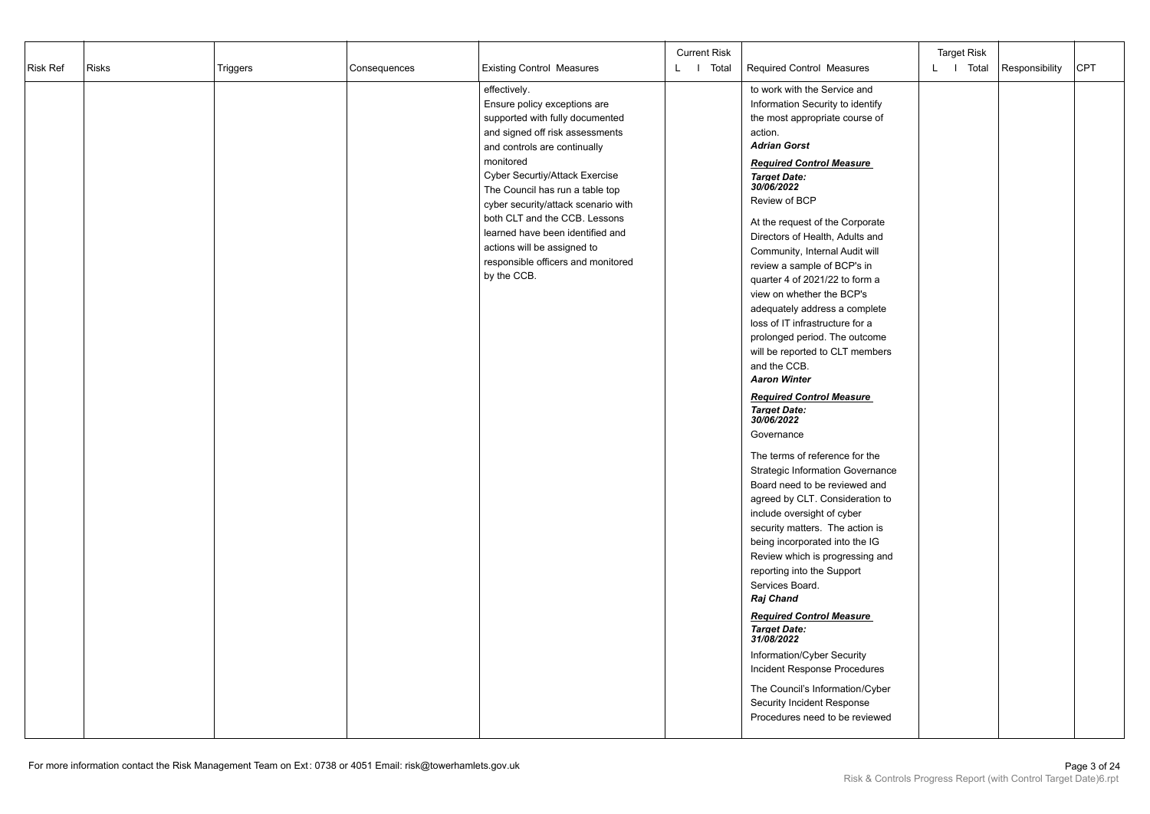| <b>Risk Ref</b> | <b>Risks</b> | Triggers | Consequences | <b>Existing Control Measures</b>                                                                                                                                                                                                                                                                                                                                                                                                     | <b>Current Risk</b><br>L   Total | <b>Required Control Measures</b>                                                                                                                                                                                                                                                                                                                                                                                                                                                                                                                                                                                                                                                                                                                                                                                                                                                                                                                                                                                                                                                                                                                                                                                                                                                                              | <b>Target Risk</b><br>L I Total | Responsibility | <b>CPT</b> |
|-----------------|--------------|----------|--------------|--------------------------------------------------------------------------------------------------------------------------------------------------------------------------------------------------------------------------------------------------------------------------------------------------------------------------------------------------------------------------------------------------------------------------------------|----------------------------------|---------------------------------------------------------------------------------------------------------------------------------------------------------------------------------------------------------------------------------------------------------------------------------------------------------------------------------------------------------------------------------------------------------------------------------------------------------------------------------------------------------------------------------------------------------------------------------------------------------------------------------------------------------------------------------------------------------------------------------------------------------------------------------------------------------------------------------------------------------------------------------------------------------------------------------------------------------------------------------------------------------------------------------------------------------------------------------------------------------------------------------------------------------------------------------------------------------------------------------------------------------------------------------------------------------------|---------------------------------|----------------|------------|
|                 |              |          |              | effectively.<br>Ensure policy exceptions are<br>supported with fully documented<br>and signed off risk assessments<br>and controls are continually<br>monitored<br>Cyber Securtiy/Attack Exercise<br>The Council has run a table top<br>cyber security/attack scenario with<br>both CLT and the CCB. Lessons<br>learned have been identified and<br>actions will be assigned to<br>responsible officers and monitored<br>by the CCB. |                                  | to work with the Service and<br>Information Security to identify<br>the most appropriate course of<br>action.<br><b>Adrian Gorst</b><br><b>Required Control Measure</b><br><b>Target Date:</b><br>30/06/2022<br>Review of BCP<br>At the request of the Corporate<br>Directors of Health, Adults and<br>Community, Internal Audit will<br>review a sample of BCP's in<br>quarter 4 of 2021/22 to form a<br>view on whether the BCP's<br>adequately address a complete<br>loss of IT infrastructure for a<br>prolonged period. The outcome<br>will be reported to CLT members<br>and the CCB.<br><b>Aaron Winter</b><br><b>Required Control Measure</b><br><b>Target Date:</b><br>30/06/2022<br>Governance<br>The terms of reference for the<br><b>Strategic Information Governance</b><br>Board need to be reviewed and<br>agreed by CLT. Consideration to<br>include oversight of cyber<br>security matters. The action is<br>being incorporated into the IG<br>Review which is progressing and<br>reporting into the Support<br>Services Board.<br><b>Raj Chand</b><br><b>Required Control Measure</b><br><b>Target Date:</b><br>31/08/2022<br>Information/Cyber Security<br>Incident Response Procedures<br>The Council's Information/Cyber<br>Security Incident Response<br>Procedures need to be reviewed |                                 |                |            |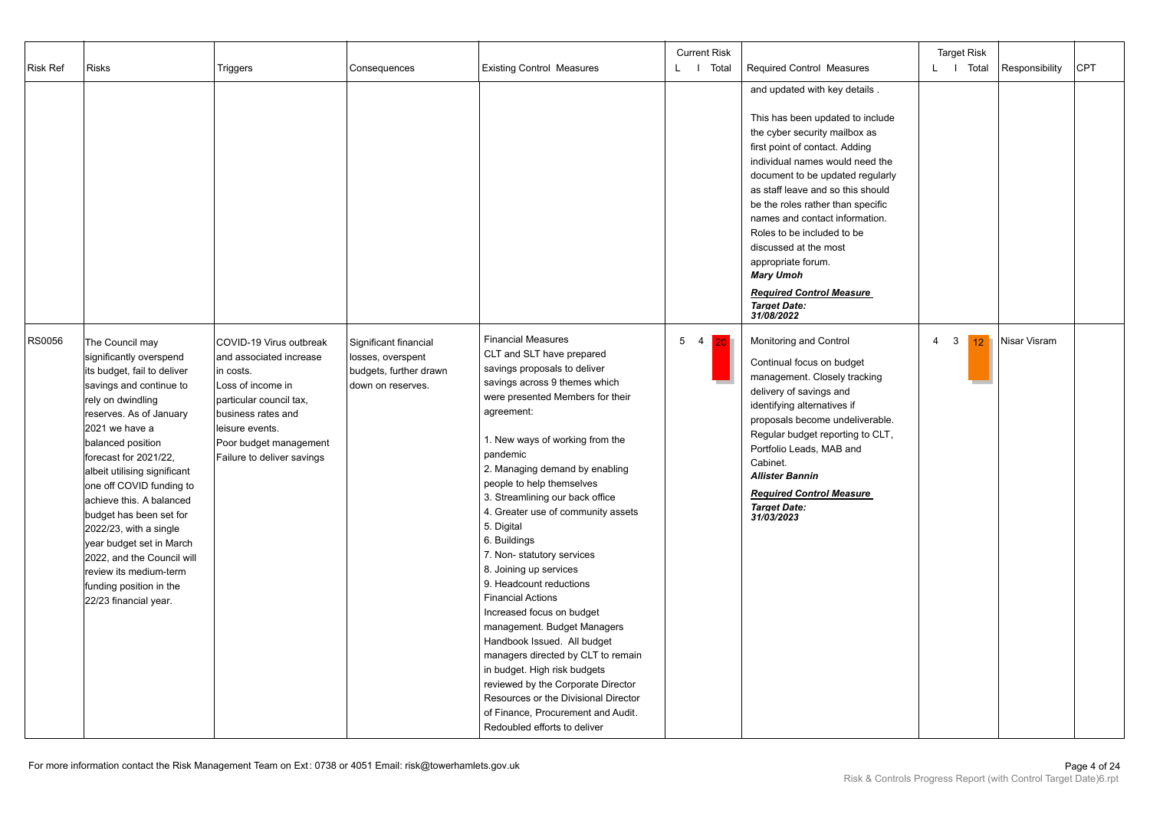| <b>Risk Ref</b> | <b>Risks</b>                                                                                                                                                                                                                                                                                                                                                                                                                                                                                                 | Triggers                                                                                                                                                                                                         | Consequences                                                                              | <b>Existing Control Measures</b>                                                                                                                                                                                                                                                                                                                                                                                                                                                                                                                                                                                                                                                                                                                                                                                                  | <b>Current Risk</b><br>L I Total | Required Control Measures                                                                                                                                                                                                                                                                                                                                                                                                                                                                        | <b>Target Risk</b><br>L   Total                   | Responsibility | CPT |
|-----------------|--------------------------------------------------------------------------------------------------------------------------------------------------------------------------------------------------------------------------------------------------------------------------------------------------------------------------------------------------------------------------------------------------------------------------------------------------------------------------------------------------------------|------------------------------------------------------------------------------------------------------------------------------------------------------------------------------------------------------------------|-------------------------------------------------------------------------------------------|-----------------------------------------------------------------------------------------------------------------------------------------------------------------------------------------------------------------------------------------------------------------------------------------------------------------------------------------------------------------------------------------------------------------------------------------------------------------------------------------------------------------------------------------------------------------------------------------------------------------------------------------------------------------------------------------------------------------------------------------------------------------------------------------------------------------------------------|----------------------------------|--------------------------------------------------------------------------------------------------------------------------------------------------------------------------------------------------------------------------------------------------------------------------------------------------------------------------------------------------------------------------------------------------------------------------------------------------------------------------------------------------|---------------------------------------------------|----------------|-----|
|                 |                                                                                                                                                                                                                                                                                                                                                                                                                                                                                                              |                                                                                                                                                                                                                  |                                                                                           |                                                                                                                                                                                                                                                                                                                                                                                                                                                                                                                                                                                                                                                                                                                                                                                                                                   |                                  | and updated with key details.<br>This has been updated to include<br>the cyber security mailbox as<br>first point of contact. Adding<br>individual names would need the<br>document to be updated regularly<br>as staff leave and so this should<br>be the roles rather than specific<br>names and contact information.<br>Roles to be included to be<br>discussed at the most<br>appropriate forum.<br><b>Mary Umoh</b><br><b>Required Control Measure</b><br><b>Target Date:</b><br>31/08/2022 |                                                   |                |     |
| <b>RS0056</b>   | The Council may<br>significantly overspend<br>its budget, fail to deliver<br>savings and continue to<br>rely on dwindling<br>reserves. As of January<br>2021 we have a<br>balanced position<br>forecast for 2021/22,<br>albeit utilising significant<br>one off COVID funding to<br>achieve this. A balanced<br>budget has been set for<br>$2022/23$ , with a single<br>year budget set in March<br>2022, and the Council will<br>review its medium-term<br>funding position in the<br>22/23 financial year. | COVID-19 Virus outbreak<br>and associated increase<br>in costs.<br>Loss of income in<br>particular council tax,<br>business rates and<br>leisure events.<br>Poor budget management<br>Failure to deliver savings | Significant financial<br>losses, overspent<br>budgets, further drawn<br>down on reserves. | <b>Financial Measures</b><br>CLT and SLT have prepared<br>savings proposals to deliver<br>savings across 9 themes which<br>were presented Members for their<br>agreement:<br>1. New ways of working from the<br>pandemic<br>2. Managing demand by enabling<br>people to help themselves<br>3. Streamlining our back office<br>4. Greater use of community assets<br>5. Digital<br>6. Buildings<br>7. Non-statutory services<br>8. Joining up services<br>9. Headcount reductions<br><b>Financial Actions</b><br>Increased focus on budget<br>management. Budget Managers<br>Handbook Issued. All budget<br>managers directed by CLT to remain<br>in budget. High risk budgets<br>reviewed by the Corporate Director<br>Resources or the Divisional Director<br>of Finance. Procurement and Audit.<br>Redoubled efforts to deliver | 5 <sub>4</sub><br>20             | Monitoring and Control<br>Continual focus on budget<br>management. Closely tracking<br>delivery of savings and<br>identifying alternatives if<br>proposals become undeliverable.<br>Regular budget reporting to CLT,<br>Portfolio Leads, MAB and<br>Cabinet.<br><b>Allister Bannin</b><br><b>Required Control Measure</b><br><b>Target Date:</b><br>31/03/2023                                                                                                                                   | $\overline{4}$<br>$\mathbf{3}$<br>12 <sup>1</sup> | Nisar Visram   |     |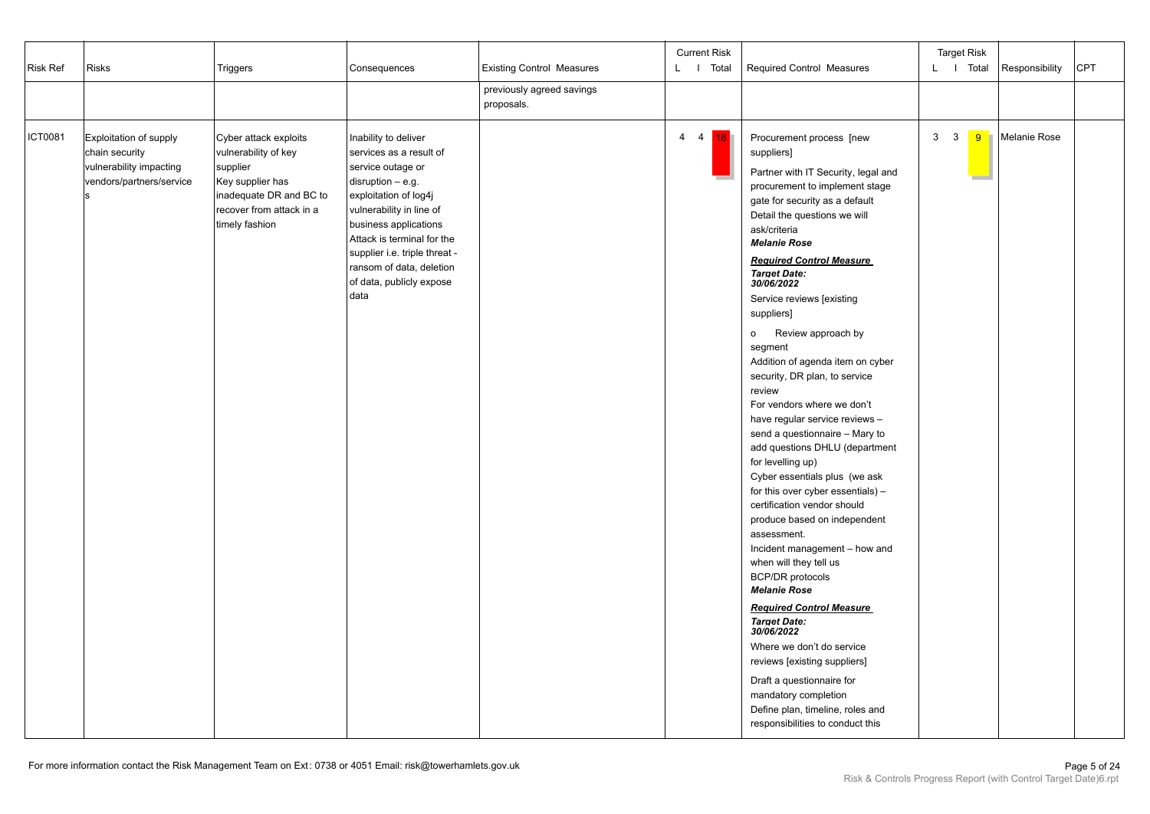| Risk Ref | <b>Risks</b>                                                                                    | Triggers                                                                                                                                               | Consequences                                                                                                                                                                                                                                                                                             | <b>Existing Control Measures</b><br>previously agreed savings<br>proposals. | <b>Current Risk</b><br>L I Total | Required Control Measures                                                                                                                                                                                                                                                                                                                                                                                                                                                                                                                                                                                                                                                                                                                                                                                                                                                                                                                                                                                                                                                                                                                                 |                | <b>Target Risk</b><br>L I Total | Responsibility | <b>CPT</b> |
|----------|-------------------------------------------------------------------------------------------------|--------------------------------------------------------------------------------------------------------------------------------------------------------|----------------------------------------------------------------------------------------------------------------------------------------------------------------------------------------------------------------------------------------------------------------------------------------------------------|-----------------------------------------------------------------------------|----------------------------------|-----------------------------------------------------------------------------------------------------------------------------------------------------------------------------------------------------------------------------------------------------------------------------------------------------------------------------------------------------------------------------------------------------------------------------------------------------------------------------------------------------------------------------------------------------------------------------------------------------------------------------------------------------------------------------------------------------------------------------------------------------------------------------------------------------------------------------------------------------------------------------------------------------------------------------------------------------------------------------------------------------------------------------------------------------------------------------------------------------------------------------------------------------------|----------------|---------------------------------|----------------|------------|
| ICT0081  | Exploitation of supply<br>chain security<br>vulnerability impacting<br>vendors/partners/service | Cyber attack exploits<br>vulnerability of key<br>supplier<br>Key supplier has<br>inadequate DR and BC to<br>recover from attack in a<br>timely fashion | Inability to deliver<br>services as a result of<br>service outage or<br>$disruption - e.g.$<br>exploitation of log4j<br>vulnerability in line of<br>business applications<br>Attack is terminal for the<br>supplier i.e. triple threat -<br>ransom of data, deletion<br>of data, publicly expose<br>data |                                                                             | $4 \quad 4$<br>16                | Procurement process [new<br>suppliers]<br>Partner with IT Security, legal and<br>procurement to implement stage<br>gate for security as a default<br>Detail the questions we will<br>ask/criteria<br><b>Melanie Rose</b><br><b>Required Control Measure</b><br><b>Target Date:</b><br>30/06/2022<br>Service reviews [existing<br>suppliers]<br>o Review approach by<br>segment<br>Addition of agenda item on cyber<br>security, DR plan, to service<br>review<br>For vendors where we don't<br>have regular service reviews -<br>send a questionnaire - Mary to<br>add questions DHLU (department<br>for levelling up)<br>Cyber essentials plus (we ask<br>for this over cyber essentials) -<br>certification vendor should<br>produce based on independent<br>assessment.<br>Incident management - how and<br>when will they tell us<br><b>BCP/DR</b> protocols<br><b>Melanie Rose</b><br><b>Required Control Measure</b><br><b>Target Date:</b><br>30/06/2022<br>Where we don't do service<br>reviews [existing suppliers]<br>Draft a questionnaire for<br>mandatory completion<br>Define plan, timeline, roles and<br>responsibilities to conduct this | 3 <sup>3</sup> | 9                               | Melanie Rose   |            |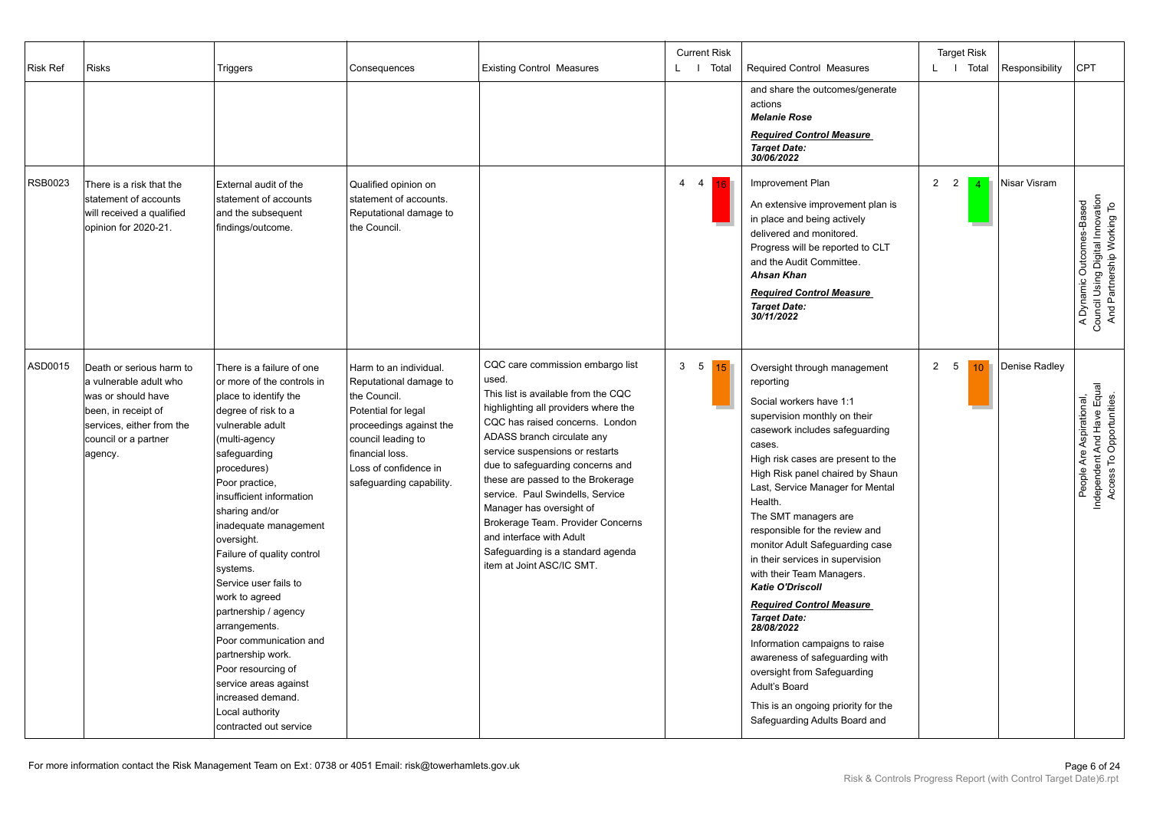| <b>Risk Ref</b> | <b>Risks</b>                                                                                                                                                    | Triggers                                                                                                                                                                                                                                                                                                                                                                                                                                                                                                                                                                         | Consequences                                                                                                                                                                                                     | <b>Existing Control Measures</b>                                                                                                                                                                                                                                                                                                                                                                                                                                                                         | <b>Current Risk</b><br>L   Total       | <b>Required Control Measures</b><br>and share the outcomes/generate<br>actions<br><b>Melanie Rose</b><br><b>Required Control Measure</b><br><b>Target Date:</b><br>30/06/2022                                                                                                                                                                                                                                                                                                                                                                                                                                                                                                                                                          | <b>Target Risk</b><br>L I Total  |                | Responsibility | <b>CPT</b>                                                                                 |
|-----------------|-----------------------------------------------------------------------------------------------------------------------------------------------------------------|----------------------------------------------------------------------------------------------------------------------------------------------------------------------------------------------------------------------------------------------------------------------------------------------------------------------------------------------------------------------------------------------------------------------------------------------------------------------------------------------------------------------------------------------------------------------------------|------------------------------------------------------------------------------------------------------------------------------------------------------------------------------------------------------------------|----------------------------------------------------------------------------------------------------------------------------------------------------------------------------------------------------------------------------------------------------------------------------------------------------------------------------------------------------------------------------------------------------------------------------------------------------------------------------------------------------------|----------------------------------------|----------------------------------------------------------------------------------------------------------------------------------------------------------------------------------------------------------------------------------------------------------------------------------------------------------------------------------------------------------------------------------------------------------------------------------------------------------------------------------------------------------------------------------------------------------------------------------------------------------------------------------------------------------------------------------------------------------------------------------------|----------------------------------|----------------|----------------|--------------------------------------------------------------------------------------------|
| RSB0023         | There is a risk that the<br>statement of accounts<br>will received a qualified<br>opinion for 2020-21.                                                          | External audit of the<br>statement of accounts<br>and the subsequent<br>findings/outcome.                                                                                                                                                                                                                                                                                                                                                                                                                                                                                        | Qualified opinion on<br>statement of accounts.<br>Reputational damage to<br>the Council.                                                                                                                         |                                                                                                                                                                                                                                                                                                                                                                                                                                                                                                          | $\overline{4}$<br>$\overline{4}$<br>16 | Improvement Plan<br>An extensive improvement plan is<br>in place and being actively<br>delivered and monitored.<br>Progress will be reported to CLT<br>and the Audit Committee.<br><b>Ahsan Khan</b><br><b>Required Control Measure</b><br><b>Target Date:</b><br>30/11/2022                                                                                                                                                                                                                                                                                                                                                                                                                                                           | $\overline{2}$<br>$\overline{2}$ | $\overline{4}$ | Nisar Visram   | Council Using Digital Innovation<br>And Partnership Working To<br>A Dynamic Outcomes-Based |
| ASD0015         | Death or serious harm to<br>a vulnerable adult who<br>was or should have<br>been, in receipt of<br>services, either from the<br>council or a partner<br>agency. | There is a failure of one<br>or more of the controls in<br>place to identify the<br>degree of risk to a<br>vulnerable adult<br>(multi-agency<br>safeguarding<br>procedures)<br>Poor practice,<br>insufficient information<br>sharing and/or<br>inadequate management<br>oversight.<br>Failure of quality control<br>systems.<br>Service user fails to<br>work to agreed<br>partnership / agency<br>arrangements.<br>Poor communication and<br>partnership work.<br>Poor resourcing of<br>service areas against<br>increased demand.<br>Local authority<br>contracted out service | Harm to an individual.<br>Reputational damage to<br>the Council.<br>Potential for legal<br>proceedings against the<br>council leading to<br>financial loss.<br>Loss of confidence in<br>safeguarding capability. | CQC care commission embargo list<br>used.<br>This list is available from the CQC<br>highlighting all providers where the<br>CQC has raised concerns. London<br>ADASS branch circulate any<br>service suspensions or restarts<br>due to safeguarding concerns and<br>these are passed to the Brokerage<br>service. Paul Swindells, Service<br>Manager has oversight of<br>Brokerage Team. Provider Concerns<br>and interface with Adult<br>Safeguarding is a standard agenda<br>item at Joint ASC/IC SMT. | 3 <sub>5</sub><br>15                   | Oversight through management<br>reporting<br>Social workers have 1:1<br>supervision monthly on their<br>casework includes safeguarding<br>cases.<br>High risk cases are present to the<br>High Risk panel chaired by Shaun<br>Last, Service Manager for Mental<br>Health.<br>The SMT managers are<br>responsible for the review and<br>monitor Adult Safeguarding case<br>in their services in supervision<br>with their Team Managers.<br><b>Katie O'Driscoll</b><br><b>Required Control Measure</b><br><b>Target Date:</b><br>28/08/2022<br>Information campaigns to raise<br>awareness of safeguarding with<br>oversight from Safeguarding<br>Adult's Board<br>This is an ongoing priority for the<br>Safeguarding Adults Board and | $\overline{2}$<br>5              | 10             | Denise Radley  | People Are Aspirational,<br>Independent And Have Equal<br>Access To Opportunities.         |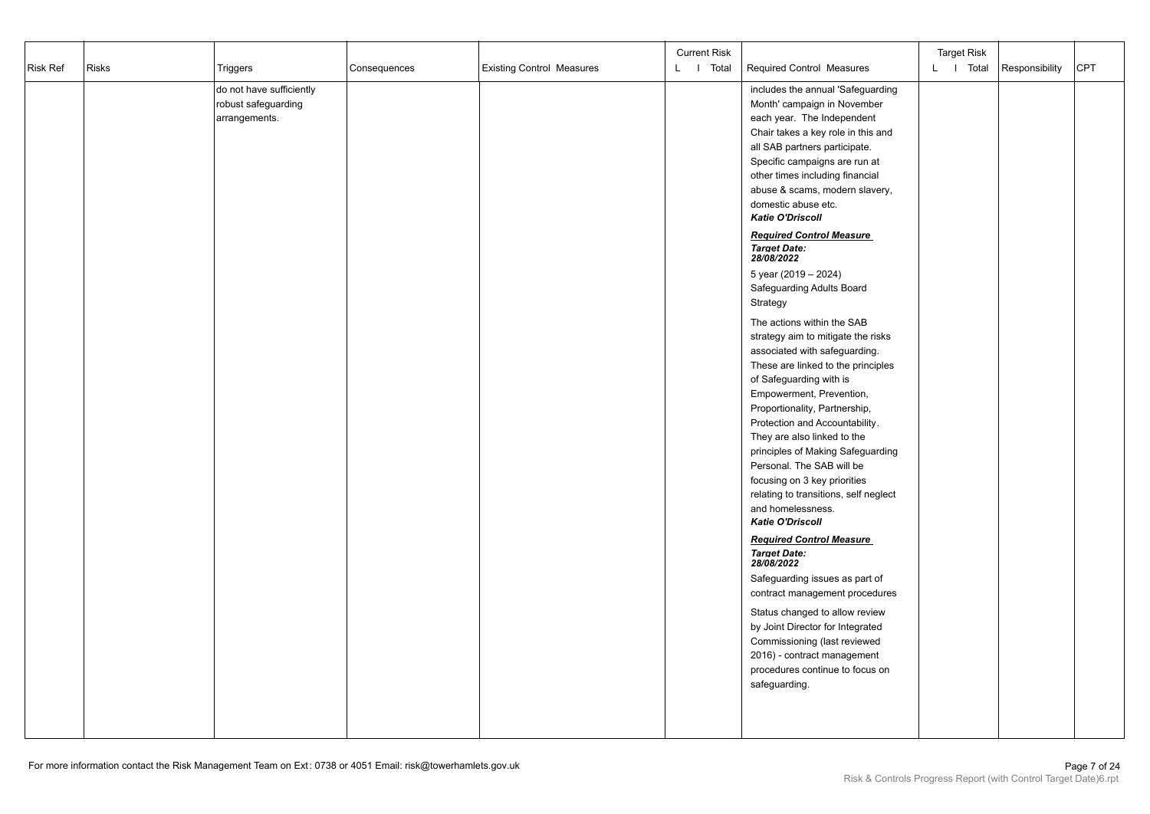|          |              |                          |              |                                  | <b>Current Risk</b> |                                       | <b>Target Risk</b> |                |     |
|----------|--------------|--------------------------|--------------|----------------------------------|---------------------|---------------------------------------|--------------------|----------------|-----|
| Risk Ref | <b>Risks</b> | Triggers                 | Consequences | <b>Existing Control Measures</b> | L   Total           | Required Control Measures             | L I Total          | Responsibility | CPT |
|          |              | do not have sufficiently |              |                                  |                     | includes the annual 'Safeguarding     |                    |                |     |
|          |              | robust safeguarding      |              |                                  |                     | Month' campaign in November           |                    |                |     |
|          |              | arrangements.            |              |                                  |                     | each year. The Independent            |                    |                |     |
|          |              |                          |              |                                  |                     | Chair takes a key role in this and    |                    |                |     |
|          |              |                          |              |                                  |                     | all SAB partners participate.         |                    |                |     |
|          |              |                          |              |                                  |                     | Specific campaigns are run at         |                    |                |     |
|          |              |                          |              |                                  |                     | other times including financial       |                    |                |     |
|          |              |                          |              |                                  |                     | abuse & scams, modern slavery,        |                    |                |     |
|          |              |                          |              |                                  |                     | domestic abuse etc.                   |                    |                |     |
|          |              |                          |              |                                  |                     | Katie O'Driscoll                      |                    |                |     |
|          |              |                          |              |                                  |                     | <b>Required Control Measure</b>       |                    |                |     |
|          |              |                          |              |                                  |                     | <b>Target Date:</b><br>28/08/2022     |                    |                |     |
|          |              |                          |              |                                  |                     | 5 year (2019 - 2024)                  |                    |                |     |
|          |              |                          |              |                                  |                     | Safeguarding Adults Board             |                    |                |     |
|          |              |                          |              |                                  |                     | Strategy                              |                    |                |     |
|          |              |                          |              |                                  |                     | The actions within the SAB            |                    |                |     |
|          |              |                          |              |                                  |                     | strategy aim to mitigate the risks    |                    |                |     |
|          |              |                          |              |                                  |                     | associated with safeguarding.         |                    |                |     |
|          |              |                          |              |                                  |                     | These are linked to the principles    |                    |                |     |
|          |              |                          |              |                                  |                     | of Safeguarding with is               |                    |                |     |
|          |              |                          |              |                                  |                     | Empowerment, Prevention,              |                    |                |     |
|          |              |                          |              |                                  |                     | Proportionality, Partnership,         |                    |                |     |
|          |              |                          |              |                                  |                     | Protection and Accountability.        |                    |                |     |
|          |              |                          |              |                                  |                     | They are also linked to the           |                    |                |     |
|          |              |                          |              |                                  |                     | principles of Making Safeguarding     |                    |                |     |
|          |              |                          |              |                                  |                     | Personal. The SAB will be             |                    |                |     |
|          |              |                          |              |                                  |                     | focusing on 3 key priorities          |                    |                |     |
|          |              |                          |              |                                  |                     | relating to transitions, self neglect |                    |                |     |
|          |              |                          |              |                                  |                     | and homelessness.                     |                    |                |     |
|          |              |                          |              |                                  |                     | <b>Katie O'Driscoll</b>               |                    |                |     |
|          |              |                          |              |                                  |                     | <b>Required Control Measure</b>       |                    |                |     |
|          |              |                          |              |                                  |                     | <b>Target Date:</b><br>28/08/2022     |                    |                |     |
|          |              |                          |              |                                  |                     | Safeguarding issues as part of        |                    |                |     |
|          |              |                          |              |                                  |                     | contract management procedures        |                    |                |     |
|          |              |                          |              |                                  |                     | Status changed to allow review        |                    |                |     |
|          |              |                          |              |                                  |                     | by Joint Director for Integrated      |                    |                |     |
|          |              |                          |              |                                  |                     | Commissioning (last reviewed          |                    |                |     |
|          |              |                          |              |                                  |                     | 2016) - contract management           |                    |                |     |
|          |              |                          |              |                                  |                     | procedures continue to focus on       |                    |                |     |
|          |              |                          |              |                                  |                     | safeguarding.                         |                    |                |     |
|          |              |                          |              |                                  |                     |                                       |                    |                |     |
|          |              |                          |              |                                  |                     |                                       |                    |                |     |
|          |              |                          |              |                                  |                     |                                       |                    |                |     |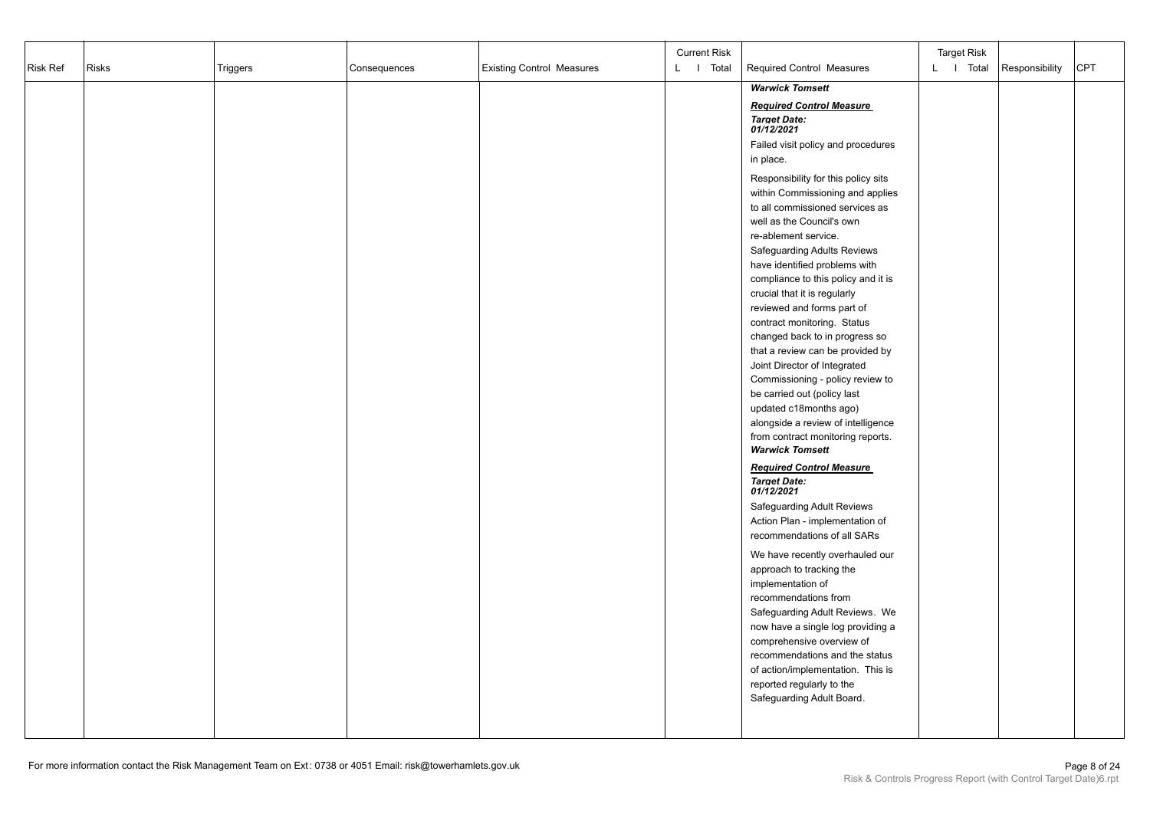|          |              |                 |              |                                  | <b>Current Risk</b> |                                     | <b>Target Risk</b> |                |            |
|----------|--------------|-----------------|--------------|----------------------------------|---------------------|-------------------------------------|--------------------|----------------|------------|
| Risk Ref | <b>Risks</b> | <b>Triggers</b> | Consequences | <b>Existing Control Measures</b> | L I Total           | <b>Required Control Measures</b>    | L I Total          | Responsibility | <b>CPT</b> |
|          |              |                 |              |                                  |                     | <b>Warwick Tomsett</b>              |                    |                |            |
|          |              |                 |              |                                  |                     |                                     |                    |                |            |
|          |              |                 |              |                                  |                     | <b>Required Control Measure</b>     |                    |                |            |
|          |              |                 |              |                                  |                     | <b>Target Date:</b><br>01/12/2021   |                    |                |            |
|          |              |                 |              |                                  |                     | Failed visit policy and procedures  |                    |                |            |
|          |              |                 |              |                                  |                     | in place.                           |                    |                |            |
|          |              |                 |              |                                  |                     | Responsibility for this policy sits |                    |                |            |
|          |              |                 |              |                                  |                     | within Commissioning and applies    |                    |                |            |
|          |              |                 |              |                                  |                     | to all commissioned services as     |                    |                |            |
|          |              |                 |              |                                  |                     | well as the Council's own           |                    |                |            |
|          |              |                 |              |                                  |                     | re-ablement service.                |                    |                |            |
|          |              |                 |              |                                  |                     | <b>Safeguarding Adults Reviews</b>  |                    |                |            |
|          |              |                 |              |                                  |                     | have identified problems with       |                    |                |            |
|          |              |                 |              |                                  |                     | compliance to this policy and it is |                    |                |            |
|          |              |                 |              |                                  |                     | crucial that it is regularly        |                    |                |            |
|          |              |                 |              |                                  |                     | reviewed and forms part of          |                    |                |            |
|          |              |                 |              |                                  |                     | contract monitoring. Status         |                    |                |            |
|          |              |                 |              |                                  |                     | changed back to in progress so      |                    |                |            |
|          |              |                 |              |                                  |                     | that a review can be provided by    |                    |                |            |
|          |              |                 |              |                                  |                     | Joint Director of Integrated        |                    |                |            |
|          |              |                 |              |                                  |                     | Commissioning - policy review to    |                    |                |            |
|          |              |                 |              |                                  |                     | be carried out (policy last         |                    |                |            |
|          |              |                 |              |                                  |                     | updated c18months ago)              |                    |                |            |
|          |              |                 |              |                                  |                     | alongside a review of intelligence  |                    |                |            |
|          |              |                 |              |                                  |                     | from contract monitoring reports.   |                    |                |            |
|          |              |                 |              |                                  |                     | <b>Warwick Tomsett</b>              |                    |                |            |
|          |              |                 |              |                                  |                     | <b>Required Control Measure</b>     |                    |                |            |
|          |              |                 |              |                                  |                     | <b>Target Date:</b><br>01/12/2021   |                    |                |            |
|          |              |                 |              |                                  |                     | <b>Safeguarding Adult Reviews</b>   |                    |                |            |
|          |              |                 |              |                                  |                     | Action Plan - implementation of     |                    |                |            |
|          |              |                 |              |                                  |                     | recommendations of all SARs         |                    |                |            |
|          |              |                 |              |                                  |                     | We have recently overhauled our     |                    |                |            |
|          |              |                 |              |                                  |                     | approach to tracking the            |                    |                |            |
|          |              |                 |              |                                  |                     | implementation of                   |                    |                |            |
|          |              |                 |              |                                  |                     | recommendations from                |                    |                |            |
|          |              |                 |              |                                  |                     | Safeguarding Adult Reviews. We      |                    |                |            |
|          |              |                 |              |                                  |                     | now have a single log providing a   |                    |                |            |
|          |              |                 |              |                                  |                     | comprehensive overview of           |                    |                |            |
|          |              |                 |              |                                  |                     | recommendations and the status      |                    |                |            |
|          |              |                 |              |                                  |                     | of action/implementation. This is   |                    |                |            |
|          |              |                 |              |                                  |                     | reported regularly to the           |                    |                |            |
|          |              |                 |              |                                  |                     | Safeguarding Adult Board.           |                    |                |            |
|          |              |                 |              |                                  |                     |                                     |                    |                |            |
|          |              |                 |              |                                  |                     |                                     |                    |                |            |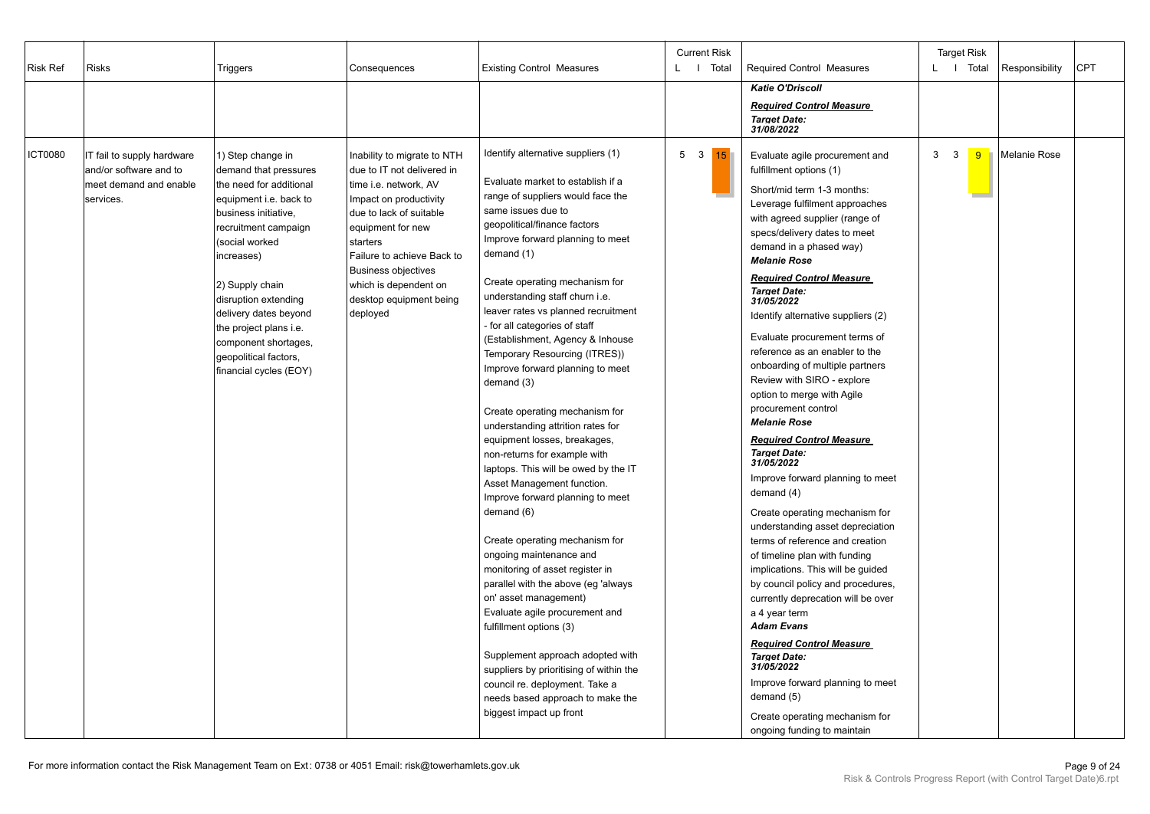| <b>Risk Ref</b> | <b>Risks</b>                                                                                | Triggers                                                                                                                                                                                                                                                                                                                                                 | <b>Existing Control Measures</b><br>Consequences                                                                                                                                                                                                                                                     |                                                                                                                                                                                                                                                                                                                                                                                                                                                                                                                                                                                                                                                                                                                                                                                                                                                                                                                                                                                                                                                                                                                                                                     | <b>Current Risk</b><br>L I Total | <b>Required Control Measures</b>                                                                                                                                                                                                                                                                                                                                                                                                                                                                                                                                                                                                                                                                                                                                                                                                                                                                                                                                                                                                                                                                                                                                                                 | <b>Target Risk</b><br>L   Total<br>Responsibility        | <b>CPT</b> |
|-----------------|---------------------------------------------------------------------------------------------|----------------------------------------------------------------------------------------------------------------------------------------------------------------------------------------------------------------------------------------------------------------------------------------------------------------------------------------------------------|------------------------------------------------------------------------------------------------------------------------------------------------------------------------------------------------------------------------------------------------------------------------------------------------------|---------------------------------------------------------------------------------------------------------------------------------------------------------------------------------------------------------------------------------------------------------------------------------------------------------------------------------------------------------------------------------------------------------------------------------------------------------------------------------------------------------------------------------------------------------------------------------------------------------------------------------------------------------------------------------------------------------------------------------------------------------------------------------------------------------------------------------------------------------------------------------------------------------------------------------------------------------------------------------------------------------------------------------------------------------------------------------------------------------------------------------------------------------------------|----------------------------------|--------------------------------------------------------------------------------------------------------------------------------------------------------------------------------------------------------------------------------------------------------------------------------------------------------------------------------------------------------------------------------------------------------------------------------------------------------------------------------------------------------------------------------------------------------------------------------------------------------------------------------------------------------------------------------------------------------------------------------------------------------------------------------------------------------------------------------------------------------------------------------------------------------------------------------------------------------------------------------------------------------------------------------------------------------------------------------------------------------------------------------------------------------------------------------------------------|----------------------------------------------------------|------------|
|                 |                                                                                             |                                                                                                                                                                                                                                                                                                                                                          |                                                                                                                                                                                                                                                                                                      |                                                                                                                                                                                                                                                                                                                                                                                                                                                                                                                                                                                                                                                                                                                                                                                                                                                                                                                                                                                                                                                                                                                                                                     |                                  | <b>Katie O'Driscoll</b><br><b>Required Control Measure</b><br><b>Target Date:</b><br>31/08/2022                                                                                                                                                                                                                                                                                                                                                                                                                                                                                                                                                                                                                                                                                                                                                                                                                                                                                                                                                                                                                                                                                                  |                                                          |            |
| <b>ICT0080</b>  | IT fail to supply hardware<br>and/or software and to<br>meet demand and enable<br>services. | 1) Step change in<br>demand that pressures<br>the need for additional<br>equipment i.e. back to<br>business initiative,<br>recruitment campaign<br>(social worked<br>increases)<br>2) Supply chain<br>disruption extending<br>delivery dates beyond<br>the project plans i.e.<br>component shortages,<br>geopolitical factors,<br>financial cycles (EOY) | Inability to migrate to NTH<br>due to IT not delivered in<br>time i.e. network, AV<br>Impact on productivity<br>due to lack of suitable<br>equipment for new<br>starters<br>Failure to achieve Back to<br><b>Business objectives</b><br>which is dependent on<br>desktop equipment being<br>deployed | Identify alternative suppliers (1)<br>Evaluate market to establish if a<br>range of suppliers would face the<br>same issues due to<br>geopolitical/finance factors<br>Improve forward planning to meet<br>demand (1)<br>Create operating mechanism for<br>understanding staff churn i.e.<br>leaver rates vs planned recruitment<br>- for all categories of staff<br>(Establishment, Agency & Inhouse<br>Temporary Resourcing (ITRES))<br>Improve forward planning to meet<br>demand (3)<br>Create operating mechanism for<br>understanding attrition rates for<br>equipment losses, breakages,<br>non-returns for example with<br>laptops. This will be owed by the IT<br>Asset Management function.<br>Improve forward planning to meet<br>demand (6)<br>Create operating mechanism for<br>ongoing maintenance and<br>monitoring of asset register in<br>parallel with the above (eg 'always<br>on' asset management)<br>Evaluate agile procurement and<br>fulfillment options (3)<br>Supplement approach adopted with<br>suppliers by prioritising of within the<br>council re. deployment. Take a<br>needs based approach to make the<br>biggest impact up front | 5 <sup>3</sup><br><b>15</b>      | Evaluate agile procurement and<br>fulfillment options (1)<br>Short/mid term 1-3 months:<br>Leverage fulfilment approaches<br>with agreed supplier (range of<br>specs/delivery dates to meet<br>demand in a phased way)<br><b>Melanie Rose</b><br><b>Required Control Measure</b><br><b>Target Date:</b><br>31/05/2022<br>Identify alternative suppliers (2)<br>Evaluate procurement terms of<br>reference as an enabler to the<br>onboarding of multiple partners<br>Review with SIRO - explore<br>option to merge with Agile<br>procurement control<br><b>Melanie Rose</b><br><b>Required Control Measure</b><br><b>Target Date:</b><br>31/05/2022<br>Improve forward planning to meet<br>demand (4)<br>Create operating mechanism for<br>understanding asset depreciation<br>terms of reference and creation<br>of timeline plan with funding<br>implications. This will be guided<br>by council policy and procedures,<br>currently deprecation will be over<br>a 4 year term<br><b>Adam Evans</b><br><b>Required Control Measure</b><br><b>Target Date:</b><br>31/05/2022<br>Improve forward planning to meet<br>demand (5)<br>Create operating mechanism for<br>ongoing funding to maintain | 3<br>$\overline{\mathbf{3}}$<br><b>Melanie Rose</b><br>9 |            |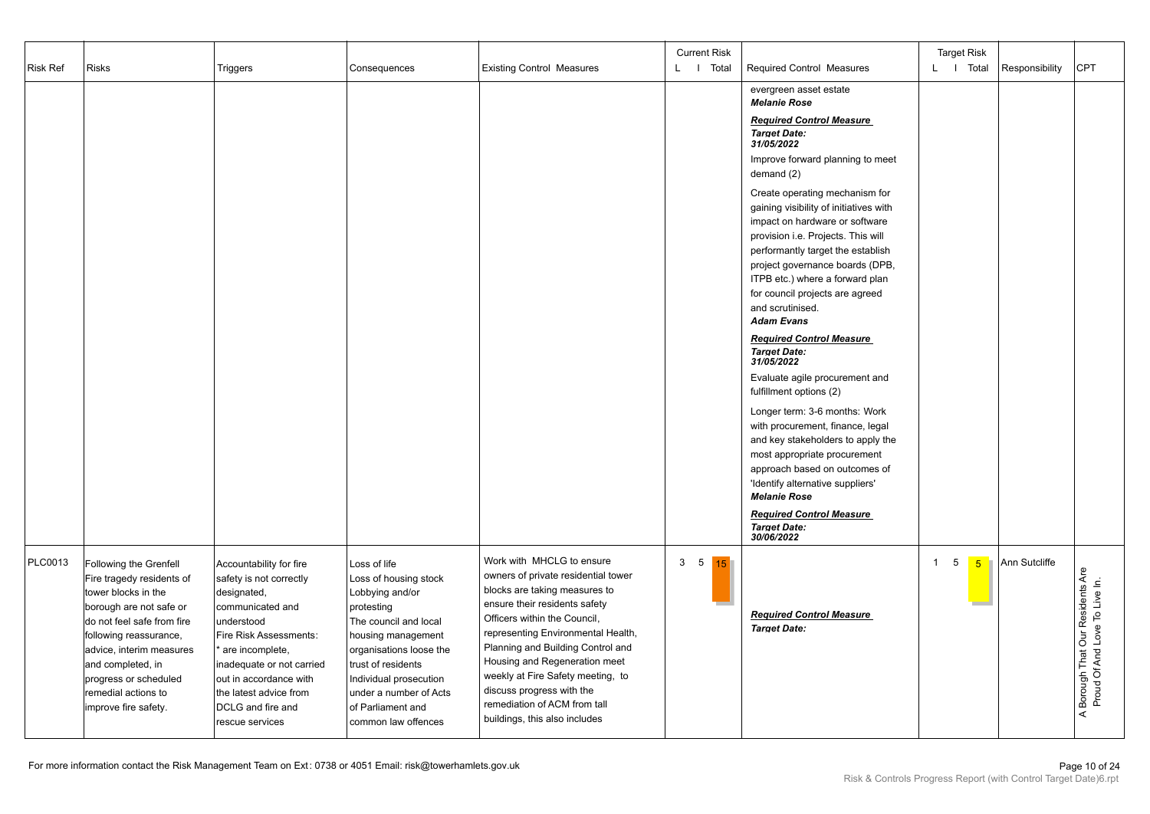|          |                                                                                                                                                                                                                                                                                        |                                                                                                                                                                                                                                                                           |                                                                                                                                                                                                                                                                        |                                                                                                                                                                                                                                                                                                                                                                                                                   | <b>Current Risk</b>  |                                                                                                                                                                                                                                                                                                                                                                                                                                                                                                                                                                                                                                                                                                                                                                                                                                                                                                                                                                       | <b>Target Risk</b>                        |                                                                      |
|----------|----------------------------------------------------------------------------------------------------------------------------------------------------------------------------------------------------------------------------------------------------------------------------------------|---------------------------------------------------------------------------------------------------------------------------------------------------------------------------------------------------------------------------------------------------------------------------|------------------------------------------------------------------------------------------------------------------------------------------------------------------------------------------------------------------------------------------------------------------------|-------------------------------------------------------------------------------------------------------------------------------------------------------------------------------------------------------------------------------------------------------------------------------------------------------------------------------------------------------------------------------------------------------------------|----------------------|-----------------------------------------------------------------------------------------------------------------------------------------------------------------------------------------------------------------------------------------------------------------------------------------------------------------------------------------------------------------------------------------------------------------------------------------------------------------------------------------------------------------------------------------------------------------------------------------------------------------------------------------------------------------------------------------------------------------------------------------------------------------------------------------------------------------------------------------------------------------------------------------------------------------------------------------------------------------------|-------------------------------------------|----------------------------------------------------------------------|
| Risk Ref | <b>Risks</b>                                                                                                                                                                                                                                                                           | Triggers                                                                                                                                                                                                                                                                  | Consequences                                                                                                                                                                                                                                                           | <b>Existing Control Measures</b>                                                                                                                                                                                                                                                                                                                                                                                  | L I Total            | Required Control Measures                                                                                                                                                                                                                                                                                                                                                                                                                                                                                                                                                                                                                                                                                                                                                                                                                                                                                                                                             | L   Total<br>Responsibility               | <b>CPT</b>                                                           |
|          |                                                                                                                                                                                                                                                                                        |                                                                                                                                                                                                                                                                           |                                                                                                                                                                                                                                                                        |                                                                                                                                                                                                                                                                                                                                                                                                                   |                      | evergreen asset estate<br><b>Melanie Rose</b><br><b>Required Control Measure</b><br><b>Target Date:</b><br>31/05/2022<br>Improve forward planning to meet<br>demand (2)<br>Create operating mechanism for<br>gaining visibility of initiatives with<br>impact on hardware or software<br>provision i.e. Projects. This will<br>performantly target the establish<br>project governance boards (DPB,<br>ITPB etc.) where a forward plan<br>for council projects are agreed<br>and scrutinised.<br><b>Adam Evans</b><br><b>Required Control Measure</b><br><b>Target Date:</b><br>31/05/2022<br>Evaluate agile procurement and<br>fulfillment options (2)<br>Longer term: 3-6 months: Work<br>with procurement, finance, legal<br>and key stakeholders to apply the<br>most appropriate procurement<br>approach based on outcomes of<br>'Identify alternative suppliers'<br><b>Melanie Rose</b><br><b>Required Control Measure</b><br><b>Target Date:</b><br>30/06/2022 |                                           |                                                                      |
| PLC0013  | Following the Grenfell<br>Fire tragedy residents of<br>tower blocks in the<br>borough are not safe or<br>do not feel safe from fire<br>following reassurance,<br>advice, interim measures<br>and completed, in<br>progress or scheduled<br>remedial actions to<br>improve fire safety. | Accountability for fire<br>safety is not correctly<br>designated,<br>communicated and<br>understood<br>Fire Risk Assessments:<br>are incomplete,<br>inadequate or not carried<br>out in accordance with<br>the latest advice from<br>DCLG and fire and<br>rescue services | Loss of life<br>Loss of housing stock<br>Lobbying and/or<br>protesting<br>The council and local<br>housing management<br>organisations loose the<br>trust of residents<br>Individual prosecution<br>under a number of Acts<br>of Parliament and<br>common law offences | Work with MHCLG to ensure<br>owners of private residential tower<br>blocks are taking measures to<br>ensure their residents safety<br>Officers within the Council,<br>representing Environmental Health,<br>Planning and Building Control and<br>Housing and Regeneration meet<br>weekly at Fire Safety meeting, to<br>discuss progress with the<br>remediation of ACM from tall<br>buildings, this also includes | 3 <sub>5</sub><br>15 | <b>Required Control Measure</b><br><b>Target Date:</b>                                                                                                                                                                                                                                                                                                                                                                                                                                                                                                                                                                                                                                                                                                                                                                                                                                                                                                                | 1<br>5<br>Ann Sutcliffe<br>5 <sup>1</sup> | Borough That Our Residents Are<br>Proud Of And Love To Live In.<br>₹ |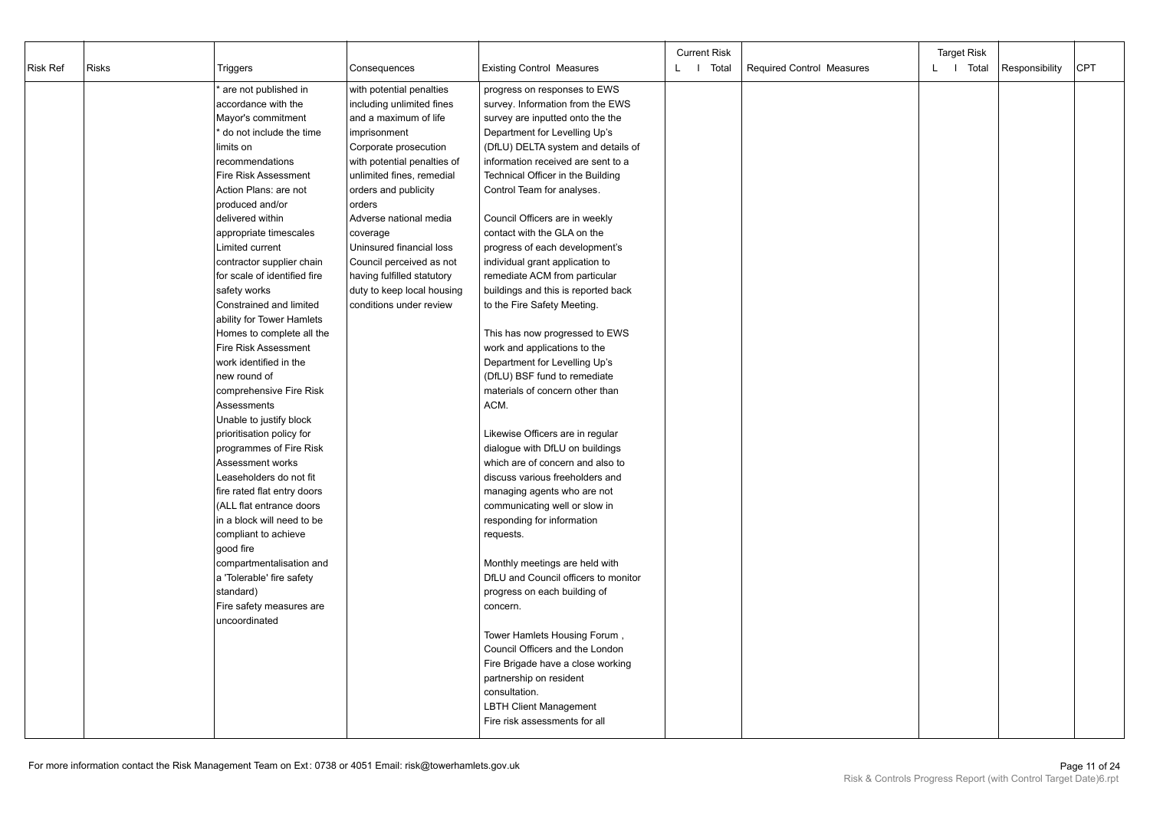|                 |              |                              |                             |                                      | <b>Current Risk</b> |                                  | <b>Target Risk</b> |                |            |
|-----------------|--------------|------------------------------|-----------------------------|--------------------------------------|---------------------|----------------------------------|--------------------|----------------|------------|
| <b>Risk Ref</b> | <b>Risks</b> | Triggers                     | Consequences                | <b>Existing Control Measures</b>     | I Total<br>L.       | <b>Required Control Measures</b> | L I Total          | Responsibility | <b>CPT</b> |
|                 |              | are not published in         | with potential penalties    | progress on responses to EWS         |                     |                                  |                    |                |            |
|                 |              | accordance with the          | including unlimited fines   | survey. Information from the EWS     |                     |                                  |                    |                |            |
|                 |              | Mayor's commitment           | and a maximum of life       | survey are inputted onto the the     |                     |                                  |                    |                |            |
|                 |              | do not include the time      | imprisonment                | Department for Levelling Up's        |                     |                                  |                    |                |            |
|                 |              | limits on                    | Corporate prosecution       | (DfLU) DELTA system and details of   |                     |                                  |                    |                |            |
|                 |              | recommendations              | with potential penalties of | information received are sent to a   |                     |                                  |                    |                |            |
|                 |              | <b>Fire Risk Assessment</b>  | unlimited fines, remedial   | Technical Officer in the Building    |                     |                                  |                    |                |            |
|                 |              | Action Plans: are not        | orders and publicity        | Control Team for analyses.           |                     |                                  |                    |                |            |
|                 |              | produced and/or              | orders                      |                                      |                     |                                  |                    |                |            |
|                 |              | delivered within             | Adverse national media      | Council Officers are in weekly       |                     |                                  |                    |                |            |
|                 |              | appropriate timescales       | coverage                    | contact with the GLA on the          |                     |                                  |                    |                |            |
|                 |              | Limited current              | Uninsured financial loss    | progress of each development's       |                     |                                  |                    |                |            |
|                 |              | contractor supplier chain    | Council perceived as not    | individual grant application to      |                     |                                  |                    |                |            |
|                 |              | for scale of identified fire | having fulfilled statutory  | remediate ACM from particular        |                     |                                  |                    |                |            |
|                 |              | safety works                 | duty to keep local housing  | buildings and this is reported back  |                     |                                  |                    |                |            |
|                 |              | Constrained and limited      | conditions under review     | to the Fire Safety Meeting.          |                     |                                  |                    |                |            |
|                 |              | ability for Tower Hamlets    |                             |                                      |                     |                                  |                    |                |            |
|                 |              | Homes to complete all the    |                             | This has now progressed to EWS       |                     |                                  |                    |                |            |
|                 |              | Fire Risk Assessment         |                             | work and applications to the         |                     |                                  |                    |                |            |
|                 |              | work identified in the       |                             | Department for Levelling Up's        |                     |                                  |                    |                |            |
|                 |              | new round of                 |                             | (DfLU) BSF fund to remediate         |                     |                                  |                    |                |            |
|                 |              | comprehensive Fire Risk      |                             | materials of concern other than      |                     |                                  |                    |                |            |
|                 |              | Assessments                  |                             | ACM.                                 |                     |                                  |                    |                |            |
|                 |              | Unable to justify block      |                             |                                      |                     |                                  |                    |                |            |
|                 |              | prioritisation policy for    |                             | Likewise Officers are in regular     |                     |                                  |                    |                |            |
|                 |              | programmes of Fire Risk      |                             | dialogue with DfLU on buildings      |                     |                                  |                    |                |            |
|                 |              | Assessment works             |                             | which are of concern and also to     |                     |                                  |                    |                |            |
|                 |              | Leaseholders do not fit      |                             | discuss various freeholders and      |                     |                                  |                    |                |            |
|                 |              | fire rated flat entry doors  |                             | managing agents who are not          |                     |                                  |                    |                |            |
|                 |              | (ALL flat entrance doors     |                             | communicating well or slow in        |                     |                                  |                    |                |            |
|                 |              | in a block will need to be   |                             | responding for information           |                     |                                  |                    |                |            |
|                 |              | compliant to achieve         |                             | requests.                            |                     |                                  |                    |                |            |
|                 |              | good fire                    |                             |                                      |                     |                                  |                    |                |            |
|                 |              | compartmentalisation and     |                             | Monthly meetings are held with       |                     |                                  |                    |                |            |
|                 |              | a 'Tolerable' fire safety    |                             | DfLU and Council officers to monitor |                     |                                  |                    |                |            |
|                 |              | standard)                    |                             | progress on each building of         |                     |                                  |                    |                |            |
|                 |              | Fire safety measures are     |                             | concern.                             |                     |                                  |                    |                |            |
|                 |              | uncoordinated                |                             |                                      |                     |                                  |                    |                |            |
|                 |              |                              |                             | Tower Hamlets Housing Forum,         |                     |                                  |                    |                |            |
|                 |              |                              |                             | Council Officers and the London      |                     |                                  |                    |                |            |
|                 |              |                              |                             | Fire Brigade have a close working    |                     |                                  |                    |                |            |
|                 |              |                              |                             | partnership on resident              |                     |                                  |                    |                |            |
|                 |              |                              |                             | consultation.                        |                     |                                  |                    |                |            |
|                 |              |                              |                             | <b>LBTH Client Management</b>        |                     |                                  |                    |                |            |
|                 |              |                              |                             | Fire risk assessments for all        |                     |                                  |                    |                |            |
|                 |              |                              |                             |                                      |                     |                                  |                    |                |            |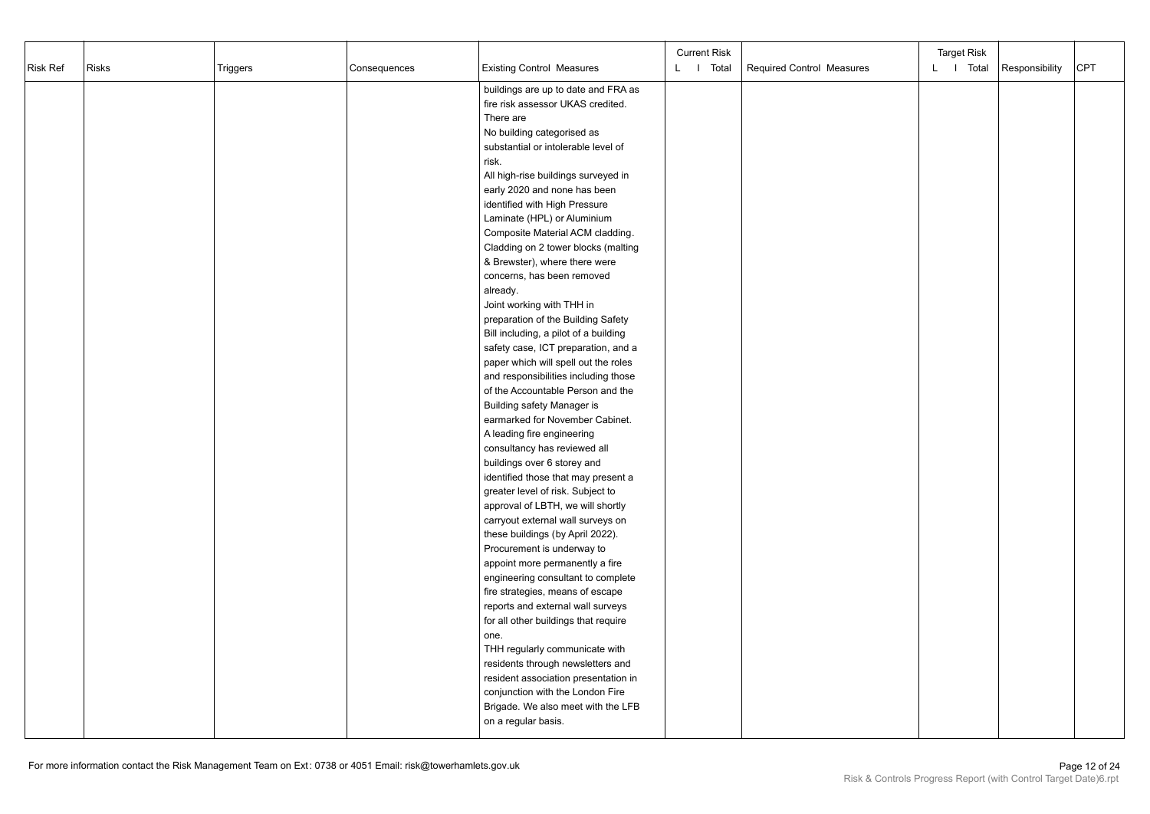| Risk Ref | <b>Risks</b> | Triggers | Consequences | <b>Existing Control Measures</b>                                      | <b>Current Risk</b><br>L I Total | Required Control Measures | <b>Target Risk</b><br>L I Total | Responsibility | <b>CPT</b> |
|----------|--------------|----------|--------------|-----------------------------------------------------------------------|----------------------------------|---------------------------|---------------------------------|----------------|------------|
|          |              |          |              | buildings are up to date and FRA as                                   |                                  |                           |                                 |                |            |
|          |              |          |              | fire risk assessor UKAS credited.                                     |                                  |                           |                                 |                |            |
|          |              |          |              | There are                                                             |                                  |                           |                                 |                |            |
|          |              |          |              | No building categorised as                                            |                                  |                           |                                 |                |            |
|          |              |          |              | substantial or intolerable level of                                   |                                  |                           |                                 |                |            |
|          |              |          |              | risk.                                                                 |                                  |                           |                                 |                |            |
|          |              |          |              | All high-rise buildings surveyed in<br>early 2020 and none has been   |                                  |                           |                                 |                |            |
|          |              |          |              | identified with High Pressure                                         |                                  |                           |                                 |                |            |
|          |              |          |              | Laminate (HPL) or Aluminium                                           |                                  |                           |                                 |                |            |
|          |              |          |              | Composite Material ACM cladding.                                      |                                  |                           |                                 |                |            |
|          |              |          |              | Cladding on 2 tower blocks (malting                                   |                                  |                           |                                 |                |            |
|          |              |          |              | & Brewster), where there were                                         |                                  |                           |                                 |                |            |
|          |              |          |              | concerns, has been removed                                            |                                  |                           |                                 |                |            |
|          |              |          |              | already.                                                              |                                  |                           |                                 |                |            |
|          |              |          |              | Joint working with THH in                                             |                                  |                           |                                 |                |            |
|          |              |          |              | preparation of the Building Safety                                    |                                  |                           |                                 |                |            |
|          |              |          |              | Bill including, a pilot of a building                                 |                                  |                           |                                 |                |            |
|          |              |          |              | safety case, ICT preparation, and a                                   |                                  |                           |                                 |                |            |
|          |              |          |              | paper which will spell out the roles                                  |                                  |                           |                                 |                |            |
|          |              |          |              | and responsibilities including those                                  |                                  |                           |                                 |                |            |
|          |              |          |              | of the Accountable Person and the                                     |                                  |                           |                                 |                |            |
|          |              |          |              | <b>Building safety Manager is</b>                                     |                                  |                           |                                 |                |            |
|          |              |          |              | earmarked for November Cabinet.                                       |                                  |                           |                                 |                |            |
|          |              |          |              | A leading fire engineering                                            |                                  |                           |                                 |                |            |
|          |              |          |              | consultancy has reviewed all                                          |                                  |                           |                                 |                |            |
|          |              |          |              | buildings over 6 storey and                                           |                                  |                           |                                 |                |            |
|          |              |          |              | identified those that may present a                                   |                                  |                           |                                 |                |            |
|          |              |          |              | greater level of risk. Subject to                                     |                                  |                           |                                 |                |            |
|          |              |          |              | approval of LBTH, we will shortly                                     |                                  |                           |                                 |                |            |
|          |              |          |              | carryout external wall surveys on                                     |                                  |                           |                                 |                |            |
|          |              |          |              | these buildings (by April 2022).                                      |                                  |                           |                                 |                |            |
|          |              |          |              | Procurement is underway to                                            |                                  |                           |                                 |                |            |
|          |              |          |              | appoint more permanently a fire                                       |                                  |                           |                                 |                |            |
|          |              |          |              | engineering consultant to complete                                    |                                  |                           |                                 |                |            |
|          |              |          |              | fire strategies, means of escape<br>reports and external wall surveys |                                  |                           |                                 |                |            |
|          |              |          |              |                                                                       |                                  |                           |                                 |                |            |
|          |              |          |              | for all other buildings that require<br>one.                          |                                  |                           |                                 |                |            |
|          |              |          |              | THH regularly communicate with                                        |                                  |                           |                                 |                |            |
|          |              |          |              | residents through newsletters and                                     |                                  |                           |                                 |                |            |
|          |              |          |              | resident association presentation in                                  |                                  |                           |                                 |                |            |
|          |              |          |              | conjunction with the London Fire                                      |                                  |                           |                                 |                |            |
|          |              |          |              | Brigade. We also meet with the LFB                                    |                                  |                           |                                 |                |            |
|          |              |          |              | on a regular basis.                                                   |                                  |                           |                                 |                |            |
|          |              |          |              |                                                                       |                                  |                           |                                 |                |            |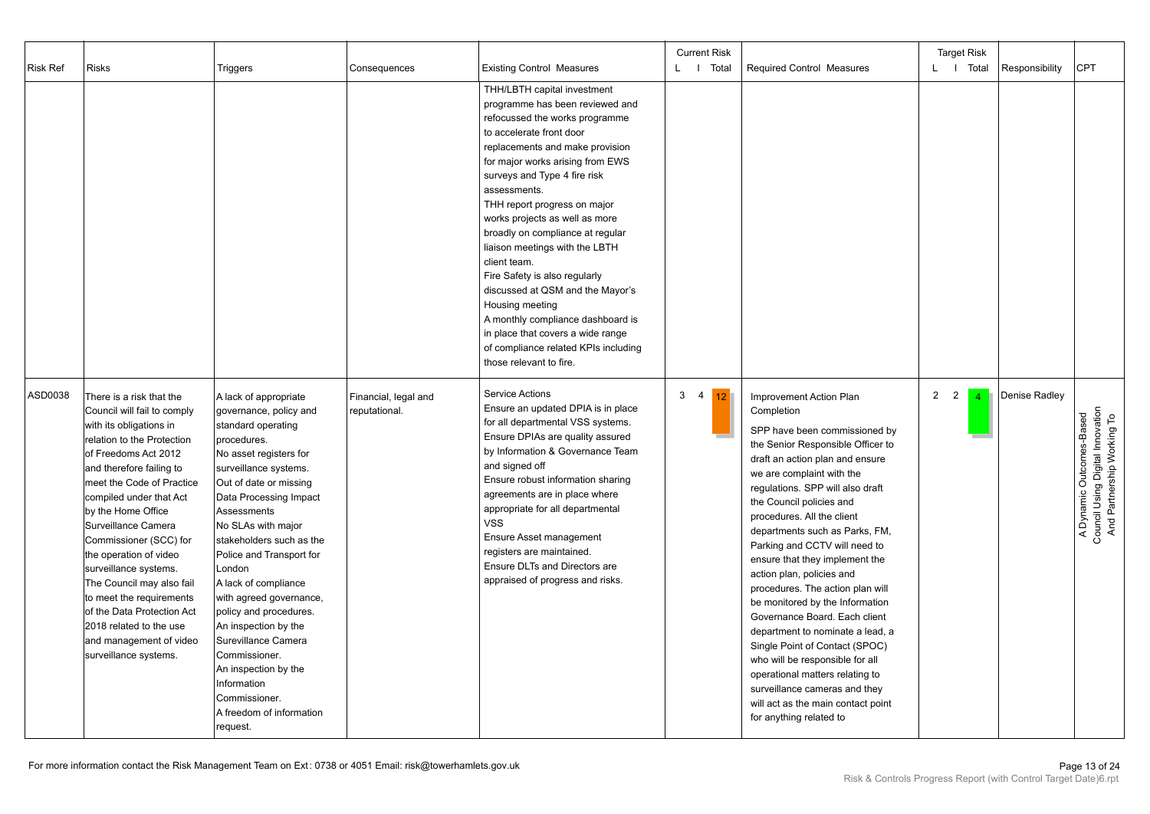| Risk Ref | <b>Risks</b>                                                                                                                                                                                                                                                                                                                                                                                                                                                                                                                 | Triggers                                                                                                                                                                                                                                                                                                                                                                                                                                                                                                                                        | Consequences                          | <b>Existing Control Measures</b>                                                                                                                                                                                                                                                                                                                                                                                                                                                                                                                                                                                                                 | <b>Current Risk</b><br>L   Total | <b>Required Control Measures</b>                                                                                                                                                                                                                                                                                                                                                                                                                                                                                                                                                                                                                                                                                                                                  | <b>Target Risk</b><br>L   Total                            | Responsibility | <b>CPT</b>                                                                                 |
|----------|------------------------------------------------------------------------------------------------------------------------------------------------------------------------------------------------------------------------------------------------------------------------------------------------------------------------------------------------------------------------------------------------------------------------------------------------------------------------------------------------------------------------------|-------------------------------------------------------------------------------------------------------------------------------------------------------------------------------------------------------------------------------------------------------------------------------------------------------------------------------------------------------------------------------------------------------------------------------------------------------------------------------------------------------------------------------------------------|---------------------------------------|--------------------------------------------------------------------------------------------------------------------------------------------------------------------------------------------------------------------------------------------------------------------------------------------------------------------------------------------------------------------------------------------------------------------------------------------------------------------------------------------------------------------------------------------------------------------------------------------------------------------------------------------------|----------------------------------|-------------------------------------------------------------------------------------------------------------------------------------------------------------------------------------------------------------------------------------------------------------------------------------------------------------------------------------------------------------------------------------------------------------------------------------------------------------------------------------------------------------------------------------------------------------------------------------------------------------------------------------------------------------------------------------------------------------------------------------------------------------------|------------------------------------------------------------|----------------|--------------------------------------------------------------------------------------------|
|          |                                                                                                                                                                                                                                                                                                                                                                                                                                                                                                                              |                                                                                                                                                                                                                                                                                                                                                                                                                                                                                                                                                 |                                       | THH/LBTH capital investment<br>programme has been reviewed and<br>refocussed the works programme<br>to accelerate front door<br>replacements and make provision<br>for major works arising from EWS<br>surveys and Type 4 fire risk<br>assessments.<br>THH report progress on major<br>works projects as well as more<br>broadly on compliance at regular<br>liaison meetings with the LBTH<br>client team.<br>Fire Safety is also regularly<br>discussed at QSM and the Mayor's<br>Housing meeting<br>A monthly compliance dashboard is<br>in place that covers a wide range<br>of compliance related KPIs including<br>those relevant to fire. |                                  |                                                                                                                                                                                                                                                                                                                                                                                                                                                                                                                                                                                                                                                                                                                                                                   |                                                            |                |                                                                                            |
| ASD0038  | There is a risk that the<br>Council will fail to comply<br>with its obligations in<br>relation to the Protection<br>of Freedoms Act 2012<br>and therefore failing to<br>meet the Code of Practice<br>compiled under that Act<br>by the Home Office<br>Surveillance Camera<br>Commissioner (SCC) for<br>the operation of video<br>surveillance systems.<br>The Council may also fail<br>to meet the requirements<br>of the Data Protection Act<br>2018 related to the use<br>and management of video<br>surveillance systems. | A lack of appropriate<br>governance, policy and<br>standard operating<br>procedures.<br>No asset registers for<br>surveillance systems.<br>Out of date or missing<br>Data Processing Impact<br>Assessments<br>No SLAs with major<br>stakeholders such as the<br>Police and Transport for<br>London<br>A lack of compliance<br>with agreed governance,<br>policy and procedures.<br>An inspection by the<br>Surevillance Camera<br>Commissioner.<br>An inspection by the<br>Information<br>Commissioner.<br>A freedom of information<br>request. | Financial, legal and<br>reputational. | <b>Service Actions</b><br>Ensure an updated DPIA is in place<br>for all departmental VSS systems.<br>Ensure DPIAs are quality assured<br>by Information & Governance Team<br>and signed off<br>Ensure robust information sharing<br>agreements are in place where<br>appropriate for all departmental<br><b>VSS</b><br>Ensure Asset management<br>registers are maintained.<br>Ensure DLTs and Directors are<br>appraised of progress and risks.                                                                                                                                                                                                 | 3 <sub>4</sub><br>12             | Improvement Action Plan<br>Completion<br>SPP have been commissioned by<br>the Senior Responsible Officer to<br>draft an action plan and ensure<br>we are complaint with the<br>regulations. SPP will also draft<br>the Council policies and<br>procedures. All the client<br>departments such as Parks, FM,<br>Parking and CCTV will need to<br>ensure that they implement the<br>action plan, policies and<br>procedures. The action plan will<br>be monitored by the Information<br>Governance Board. Each client<br>department to nominate a lead, a<br>Single Point of Contact (SPOC)<br>who will be responsible for all<br>operational matters relating to<br>surveillance cameras and they<br>will act as the main contact point<br>for anything related to | $\overline{2}$<br>$\overline{2}$<br>$\boldsymbol{\Lambda}$ | Denise Radley  | A Dynamic Outcomes-Based<br>Council Using Digital Innovation<br>And Partnership Working To |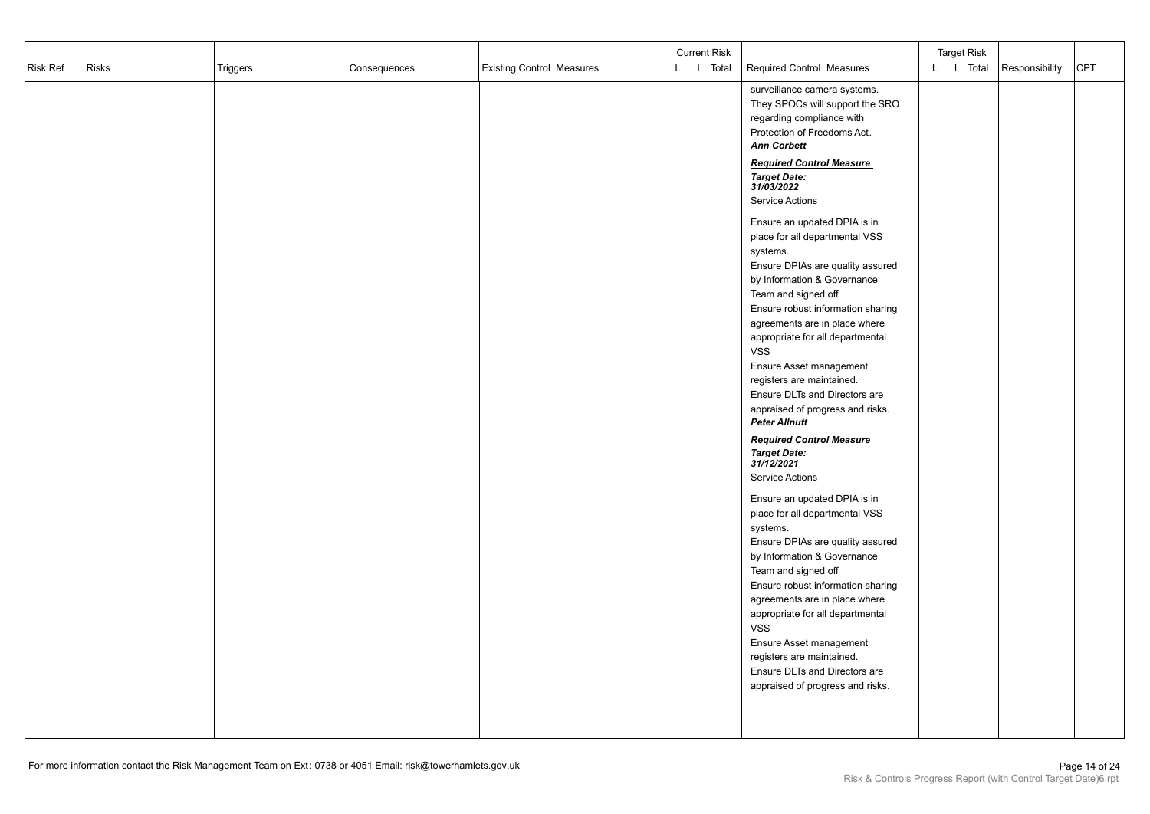| Risk Ref | <b>Risks</b><br>Triggers | Consequences | <b>Existing Control Measures</b> | <b>Current Risk</b><br>L I Total | <b>Required Control Measures</b>                                                                                                                                                                                                                                                                                                                                          | <b>Target Risk</b><br>L I Total | Responsibility | <b>CPT</b> |
|----------|--------------------------|--------------|----------------------------------|----------------------------------|---------------------------------------------------------------------------------------------------------------------------------------------------------------------------------------------------------------------------------------------------------------------------------------------------------------------------------------------------------------------------|---------------------------------|----------------|------------|
|          |                          |              |                                  |                                  | surveillance camera systems.<br>They SPOCs will support the SRO<br>regarding compliance with<br>Protection of Freedoms Act.<br><b>Ann Corbett</b><br><b>Required Control Measure</b><br><b>Target Date:</b><br>31/03/2022<br>Service Actions<br>Ensure an updated DPIA is in<br>place for all departmental VSS<br>systems.                                                |                                 |                |            |
|          |                          |              |                                  |                                  | Ensure DPIAs are quality assured<br>by Information & Governance<br>Team and signed off<br>Ensure robust information sharing<br>agreements are in place where<br>appropriate for all departmental<br><b>VSS</b><br>Ensure Asset management<br>registers are maintained.<br>Ensure DLTs and Directors are<br>appraised of progress and risks.<br><b>Peter Allnutt</b>       |                                 |                |            |
|          |                          |              |                                  |                                  | <b>Required Control Measure</b><br><b>Target Date:</b><br>31/12/2021<br>Service Actions<br>Ensure an updated DPIA is in<br>place for all departmental VSS<br>systems.<br>Ensure DPIAs are quality assured<br>by Information & Governance<br>Team and signed off<br>Ensure robust information sharing<br>agreements are in place where<br>appropriate for all departmental |                                 |                |            |
|          |                          |              |                                  |                                  | <b>VSS</b><br>Ensure Asset management<br>registers are maintained.<br>Ensure DLTs and Directors are<br>appraised of progress and risks.                                                                                                                                                                                                                                   |                                 |                |            |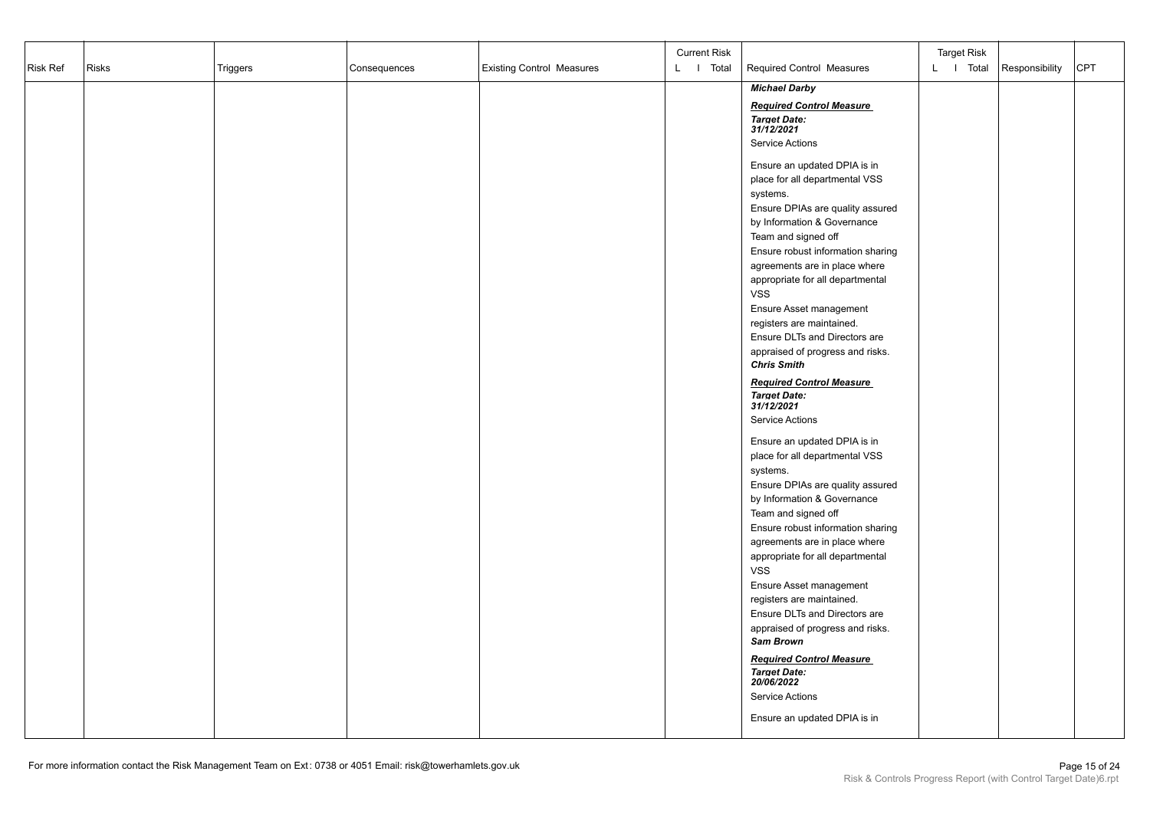|                 |              |          |              |                                  | <b>Current Risk</b> |                                                                   | <b>Target Risk</b> |                |     |
|-----------------|--------------|----------|--------------|----------------------------------|---------------------|-------------------------------------------------------------------|--------------------|----------------|-----|
| <b>Risk Ref</b> | <b>Risks</b> | Triggers | Consequences | <b>Existing Control Measures</b> | L   Total           | Required Control Measures                                         | L I Total          | Responsibility | CPT |
|                 |              |          |              |                                  |                     | <b>Michael Darby</b>                                              |                    |                |     |
|                 |              |          |              |                                  |                     | <b>Required Control Measure</b>                                   |                    |                |     |
|                 |              |          |              |                                  |                     | <b>Target Date:</b><br>31/12/2021                                 |                    |                |     |
|                 |              |          |              |                                  |                     | <b>Service Actions</b>                                            |                    |                |     |
|                 |              |          |              |                                  |                     | Ensure an updated DPIA is in                                      |                    |                |     |
|                 |              |          |              |                                  |                     | place for all departmental VSS                                    |                    |                |     |
|                 |              |          |              |                                  |                     | systems.                                                          |                    |                |     |
|                 |              |          |              |                                  |                     | Ensure DPIAs are quality assured                                  |                    |                |     |
|                 |              |          |              |                                  |                     | by Information & Governance                                       |                    |                |     |
|                 |              |          |              |                                  |                     | Team and signed off<br>Ensure robust information sharing          |                    |                |     |
|                 |              |          |              |                                  |                     | agreements are in place where                                     |                    |                |     |
|                 |              |          |              |                                  |                     | appropriate for all departmental                                  |                    |                |     |
|                 |              |          |              |                                  |                     | <b>VSS</b>                                                        |                    |                |     |
|                 |              |          |              |                                  |                     | Ensure Asset management                                           |                    |                |     |
|                 |              |          |              |                                  |                     | registers are maintained.<br>Ensure DLTs and Directors are        |                    |                |     |
|                 |              |          |              |                                  |                     | appraised of progress and risks.                                  |                    |                |     |
|                 |              |          |              |                                  |                     | <b>Chris Smith</b>                                                |                    |                |     |
|                 |              |          |              |                                  |                     | <b>Required Control Measure</b>                                   |                    |                |     |
|                 |              |          |              |                                  |                     | <b>Target Date:</b><br>31/12/2021                                 |                    |                |     |
|                 |              |          |              |                                  |                     | <b>Service Actions</b>                                            |                    |                |     |
|                 |              |          |              |                                  |                     |                                                                   |                    |                |     |
|                 |              |          |              |                                  |                     | Ensure an updated DPIA is in<br>place for all departmental VSS    |                    |                |     |
|                 |              |          |              |                                  |                     | systems.                                                          |                    |                |     |
|                 |              |          |              |                                  |                     | Ensure DPIAs are quality assured                                  |                    |                |     |
|                 |              |          |              |                                  |                     | by Information & Governance                                       |                    |                |     |
|                 |              |          |              |                                  |                     | Team and signed off                                               |                    |                |     |
|                 |              |          |              |                                  |                     | Ensure robust information sharing                                 |                    |                |     |
|                 |              |          |              |                                  |                     | agreements are in place where<br>appropriate for all departmental |                    |                |     |
|                 |              |          |              |                                  |                     | <b>VSS</b>                                                        |                    |                |     |
|                 |              |          |              |                                  |                     | Ensure Asset management                                           |                    |                |     |
|                 |              |          |              |                                  |                     | registers are maintained.                                         |                    |                |     |
|                 |              |          |              |                                  |                     | Ensure DLTs and Directors are                                     |                    |                |     |
|                 |              |          |              |                                  |                     | appraised of progress and risks.<br>Sam Brown                     |                    |                |     |
|                 |              |          |              |                                  |                     | <b>Required Control Measure</b>                                   |                    |                |     |
|                 |              |          |              |                                  |                     | <b>Target Date:</b>                                               |                    |                |     |
|                 |              |          |              |                                  |                     | 20/06/2022                                                        |                    |                |     |
|                 |              |          |              |                                  |                     | Service Actions                                                   |                    |                |     |
|                 |              |          |              |                                  |                     | Ensure an updated DPIA is in                                      |                    |                |     |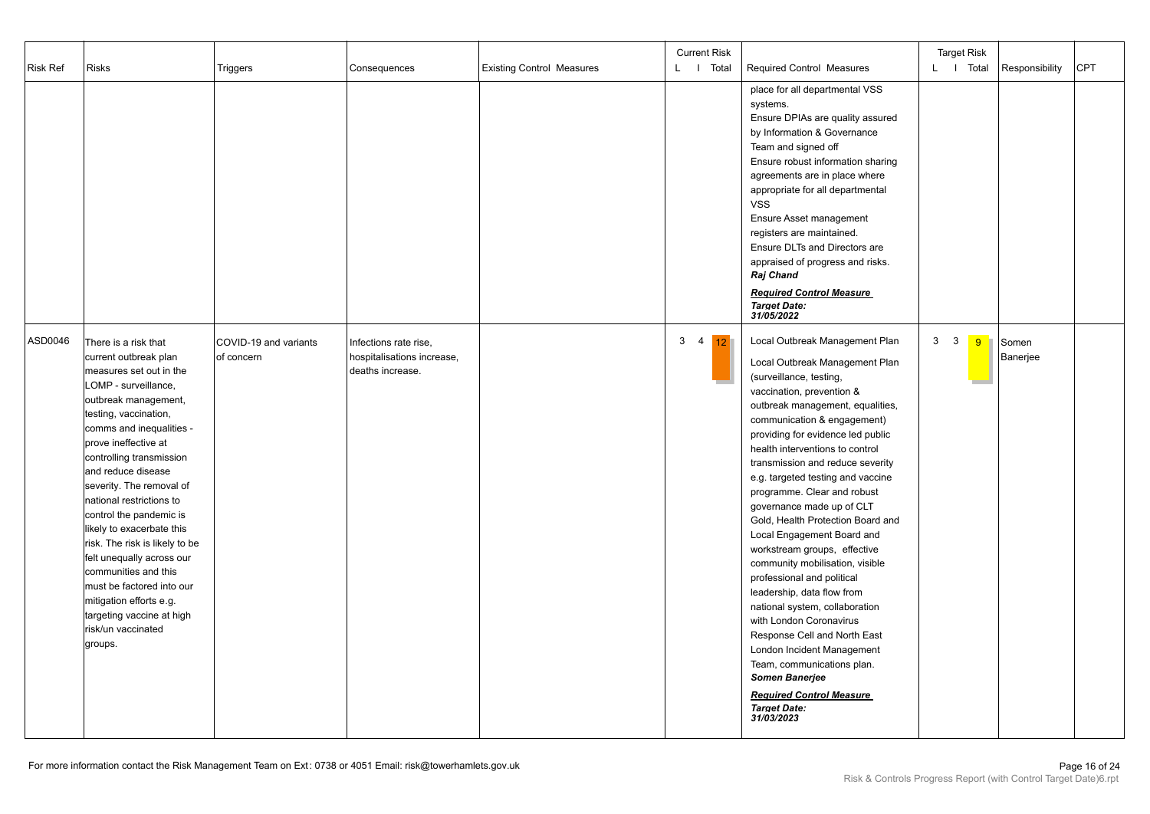| Risk Ref | <b>Risks</b>                                                                                                                                                                                                                                                                                                                                                                                                                                                                                                                                                                         | Triggers                            | Consequences                                                            | <b>Existing Control Measures</b> | <b>Current Risk</b><br>L   Total | <b>Required Control Measures</b>                                                                                                                                                                                                                                                                                                                                                                                                                                                                                                                                                                                                                                                                                                                                                                                                                                     | <b>Target Risk</b><br>L   Total | Responsibility    | <b>CPT</b> |
|----------|--------------------------------------------------------------------------------------------------------------------------------------------------------------------------------------------------------------------------------------------------------------------------------------------------------------------------------------------------------------------------------------------------------------------------------------------------------------------------------------------------------------------------------------------------------------------------------------|-------------------------------------|-------------------------------------------------------------------------|----------------------------------|----------------------------------|----------------------------------------------------------------------------------------------------------------------------------------------------------------------------------------------------------------------------------------------------------------------------------------------------------------------------------------------------------------------------------------------------------------------------------------------------------------------------------------------------------------------------------------------------------------------------------------------------------------------------------------------------------------------------------------------------------------------------------------------------------------------------------------------------------------------------------------------------------------------|---------------------------------|-------------------|------------|
|          |                                                                                                                                                                                                                                                                                                                                                                                                                                                                                                                                                                                      |                                     |                                                                         |                                  |                                  | place for all departmental VSS<br>systems.<br>Ensure DPIAs are quality assured<br>by Information & Governance<br>Team and signed off<br>Ensure robust information sharing<br>agreements are in place where<br>appropriate for all departmental<br><b>VSS</b><br>Ensure Asset management<br>registers are maintained.<br>Ensure DLTs and Directors are<br>appraised of progress and risks.<br>Raj Chand<br><b>Required Control Measure</b><br><b>Target Date:</b><br>31/05/2022                                                                                                                                                                                                                                                                                                                                                                                       |                                 |                   |            |
| ASD0046  | There is a risk that<br>current outbreak plan<br>measures set out in the<br>LOMP - surveillance,<br>outbreak management,<br>testing, vaccination,<br>comms and inequalities -<br>prove ineffective at<br>controlling transmission<br>and reduce disease<br>severity. The removal of<br>national restrictions to<br>control the pandemic is<br>likely to exacerbate this<br>risk. The risk is likely to be<br>felt unequally across our<br>communities and this<br>must be factored into our<br>mitigation efforts e.g.<br>targeting vaccine at high<br>risk/un vaccinated<br>groups. | COVID-19 and variants<br>of concern | Infections rate rise,<br>hospitalisations increase,<br>deaths increase. |                                  | $3 \quad 4$<br>12 <sup>°</sup>   | Local Outbreak Management Plan<br>Local Outbreak Management Plan<br>(surveillance, testing,<br>vaccination, prevention &<br>outbreak management, equalities,<br>communication & engagement)<br>providing for evidence led public<br>health interventions to control<br>transmission and reduce severity<br>e.g. targeted testing and vaccine<br>programme. Clear and robust<br>governance made up of CLT<br>Gold, Health Protection Board and<br>Local Engagement Board and<br>workstream groups, effective<br>community mobilisation, visible<br>professional and political<br>leadership, data flow from<br>national system, collaboration<br>with London Coronavirus<br>Response Cell and North East<br>London Incident Management<br>Team, communications plan.<br><b>Somen Banerjee</b><br><b>Required Control Measure</b><br><b>Target Date:</b><br>31/03/2023 | $3 \quad 3$<br>9                | Somen<br>Banerjee |            |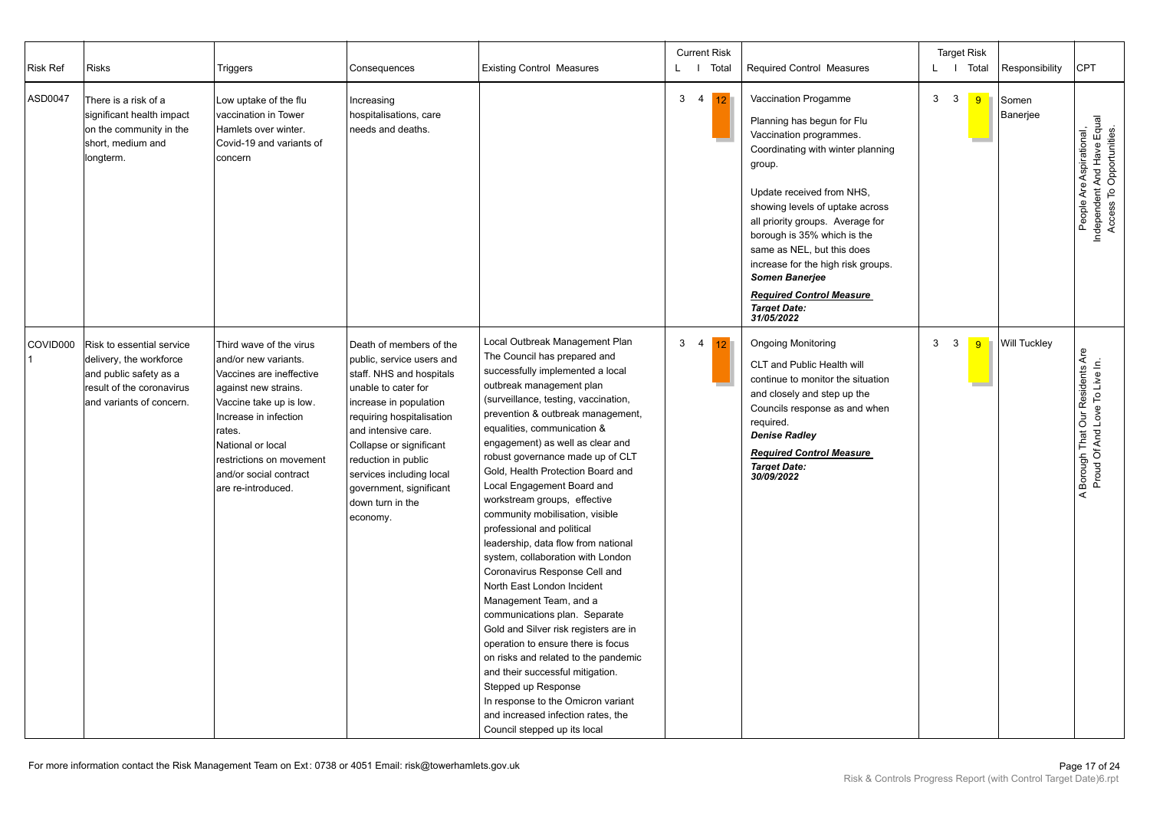| <b>Risk Ref</b> | <b>Risks</b>                                                                                                                            | Triggers                                                                                                                                                                                                                                                           | Consequences                                                                                                                                                                                                                                                                                                                   | <b>Existing Control Measures</b>                                                                                                                                                                                                                                                                                                                                                                                                                                                                                                                                                                                                                                                                                                                                                                                                                                                                                                                                                           | <b>Current Risk</b><br>L   Total                  | Required Control Measures                                                                                                                                                                                                                                                                                                                                                                                                            |                   | <b>Target Risk</b><br>L I Total | Responsibility      | <b>CPT</b>                                                                         |
|-----------------|-----------------------------------------------------------------------------------------------------------------------------------------|--------------------------------------------------------------------------------------------------------------------------------------------------------------------------------------------------------------------------------------------------------------------|--------------------------------------------------------------------------------------------------------------------------------------------------------------------------------------------------------------------------------------------------------------------------------------------------------------------------------|--------------------------------------------------------------------------------------------------------------------------------------------------------------------------------------------------------------------------------------------------------------------------------------------------------------------------------------------------------------------------------------------------------------------------------------------------------------------------------------------------------------------------------------------------------------------------------------------------------------------------------------------------------------------------------------------------------------------------------------------------------------------------------------------------------------------------------------------------------------------------------------------------------------------------------------------------------------------------------------------|---------------------------------------------------|--------------------------------------------------------------------------------------------------------------------------------------------------------------------------------------------------------------------------------------------------------------------------------------------------------------------------------------------------------------------------------------------------------------------------------------|-------------------|---------------------------------|---------------------|------------------------------------------------------------------------------------|
| ASD0047         | There is a risk of a<br>significant health impact<br>on the community in the<br>short, medium and<br>longterm.                          | Low uptake of the flu<br>vaccination in Tower<br>Hamlets over winter.<br>Covid-19 and variants of<br>concern                                                                                                                                                       | Increasing<br>hospitalisations, care<br>needs and deaths.                                                                                                                                                                                                                                                                      |                                                                                                                                                                                                                                                                                                                                                                                                                                                                                                                                                                                                                                                                                                                                                                                                                                                                                                                                                                                            | $\mathbf{3}$<br>$\overline{4}$<br>12 <sup>7</sup> | Vaccination Progamme<br>Planning has begun for Flu<br>Vaccination programmes.<br>Coordinating with winter planning<br>group.<br>Update received from NHS,<br>showing levels of uptake across<br>all priority groups. Average for<br>borough is 35% which is the<br>same as NEL, but this does<br>increase for the high risk groups.<br><b>Somen Banerjee</b><br><b>Required Control Measure</b><br><b>Target Date:</b><br>31/05/2022 | $\mathbf{3}$<br>3 | 9                               | Somen<br>Banerjee   | People Are Aspirational,<br>Independent And Have Equal<br>Access To Opportunities. |
| COVID000        | Risk to essential service<br>delivery, the workforce<br>and public safety as a<br>result of the coronavirus<br>and variants of concern. | Third wave of the virus<br>and/or new variants.<br>Vaccines are ineffective<br>against new strains.<br>Vaccine take up is low.<br>Increase in infection<br>rates.<br>National or local<br>restrictions on movement<br>and/or social contract<br>are re-introduced. | Death of members of the<br>public, service users and<br>staff. NHS and hospitals<br>unable to cater for<br>increase in population<br>requiring hospitalisation<br>and intensive care.<br>Collapse or significant<br>reduction in public<br>services including local<br>government, significant<br>down turn in the<br>economy. | Local Outbreak Management Plan<br>The Council has prepared and<br>successfully implemented a local<br>outbreak management plan<br>(surveillance, testing, vaccination,<br>prevention & outbreak management,<br>equalities, communication &<br>engagement) as well as clear and<br>robust governance made up of CLT<br>Gold, Health Protection Board and<br>Local Engagement Board and<br>workstream groups, effective<br>community mobilisation, visible<br>professional and political<br>leadership, data flow from national<br>system, collaboration with London<br>Coronavirus Response Cell and<br>North East London Incident<br>Management Team, and a<br>communications plan. Separate<br>Gold and Silver risk registers are in<br>operation to ensure there is focus<br>on risks and related to the pandemic<br>and their successful mitigation.<br>Stepped up Response<br>In response to the Omicron variant<br>and increased infection rates, the<br>Council stepped up its local | 3 <sub>4</sub><br>12 <sup>°</sup>                 | <b>Ongoing Monitoring</b><br>CLT and Public Health will<br>continue to monitor the situation<br>and closely and step up the<br>Councils response as and when<br>required.<br><b>Denise Radley</b><br><b>Required Control Measure</b><br><b>Target Date:</b><br>30/09/2022                                                                                                                                                            | 3<br>3            | 9                               | <b>Will Tuckley</b> | A Borough That Our Residents Are<br>Proud Of And Love To Live In.                  |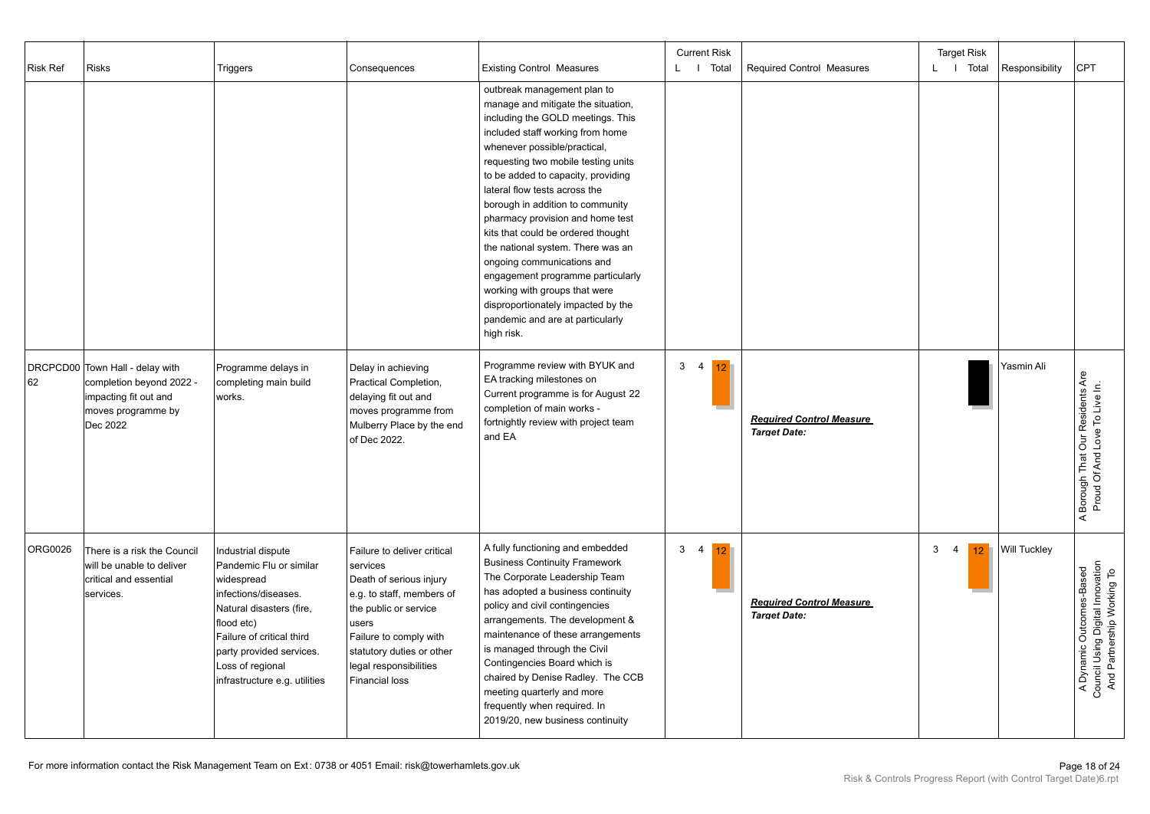| <b>Risk Ref</b> | <b>Risks</b>                                                                                                           | Triggers                                                                                                                                                                                                                                    | Consequences                                                                                                                                                                                                                                | <b>Existing Control Measures</b>                                                                                                                                                                                                                                                                                                                                                                                                                                                                                                                                                                                                        | <b>Current Risk</b><br>L I Total | Required Control Measures                              | <b>Target Risk</b><br>L I Total | Responsibility      | <b>CPT</b>                                                                                 |
|-----------------|------------------------------------------------------------------------------------------------------------------------|---------------------------------------------------------------------------------------------------------------------------------------------------------------------------------------------------------------------------------------------|---------------------------------------------------------------------------------------------------------------------------------------------------------------------------------------------------------------------------------------------|-----------------------------------------------------------------------------------------------------------------------------------------------------------------------------------------------------------------------------------------------------------------------------------------------------------------------------------------------------------------------------------------------------------------------------------------------------------------------------------------------------------------------------------------------------------------------------------------------------------------------------------------|----------------------------------|--------------------------------------------------------|---------------------------------|---------------------|--------------------------------------------------------------------------------------------|
|                 |                                                                                                                        |                                                                                                                                                                                                                                             |                                                                                                                                                                                                                                             | outbreak management plan to<br>manage and mitigate the situation,<br>including the GOLD meetings. This<br>included staff working from home<br>whenever possible/practical,<br>requesting two mobile testing units<br>to be added to capacity, providing<br>lateral flow tests across the<br>borough in addition to community<br>pharmacy provision and home test<br>kits that could be ordered thought<br>the national system. There was an<br>ongoing communications and<br>engagement programme particularly<br>working with groups that were<br>disproportionately impacted by the<br>pandemic and are at particularly<br>high risk. |                                  |                                                        |                                 |                     |                                                                                            |
| 62              | DRCPCD00 Town Hall - delay with<br>completion beyond 2022 -<br>impacting fit out and<br>moves programme by<br>Dec 2022 | Programme delays in<br>completing main build<br>works.                                                                                                                                                                                      | Delay in achieving<br>Practical Completion,<br>delaying fit out and<br>moves programme from<br>Mulberry Place by the end<br>of Dec 2022.                                                                                                    | Programme review with BYUK and<br>EA tracking milestones on<br>Current programme is for August 22<br>completion of main works -<br>fortnightly review with project team<br>and EA                                                                                                                                                                                                                                                                                                                                                                                                                                                       | $3 \quad 4$<br>12 <sup>°</sup>   | <b>Required Control Measure</b><br><b>Target Date:</b> |                                 | Yasmin Ali          | Borough That Our Residents Are<br>Proud Of And Love To Live In.<br>$\prec$                 |
| ORG0026         | There is a risk the Council<br>will be unable to deliver<br>critical and essential<br>services.                        | Industrial dispute<br>Pandemic Flu or similar<br>widespread<br>infections/diseases.<br>Natural disasters (fire,<br>flood etc)<br>Failure of critical third<br>party provided services.<br>Loss of regional<br>infrastructure e.g. utilities | Failure to deliver critical<br>services<br>Death of serious injury<br>e.g. to staff, members of<br>the public or service<br>users<br>Failure to comply with<br>statutory duties or other<br>legal responsibilities<br><b>Financial loss</b> | A fully functioning and embedded<br><b>Business Continuity Framework</b><br>The Corporate Leadership Team<br>has adopted a business continuity<br>policy and civil contingencies<br>arrangements. The development &<br>maintenance of these arrangements<br>is managed through the Civil<br>Contingencies Board which is<br>chaired by Denise Radley. The CCB<br>meeting quarterly and more<br>frequently when required. In<br>2019/20, new business continuity                                                                                                                                                                         | 3<br>$\overline{4}$<br>12        | <b>Required Control Measure</b><br><b>Target Date:</b> | 3<br>$\overline{4}$<br>$12-1$   | <b>Will Tuckley</b> | A Dynamic Outcomes-Based<br>Council Using Digital Innovation<br>And Partnership Working To |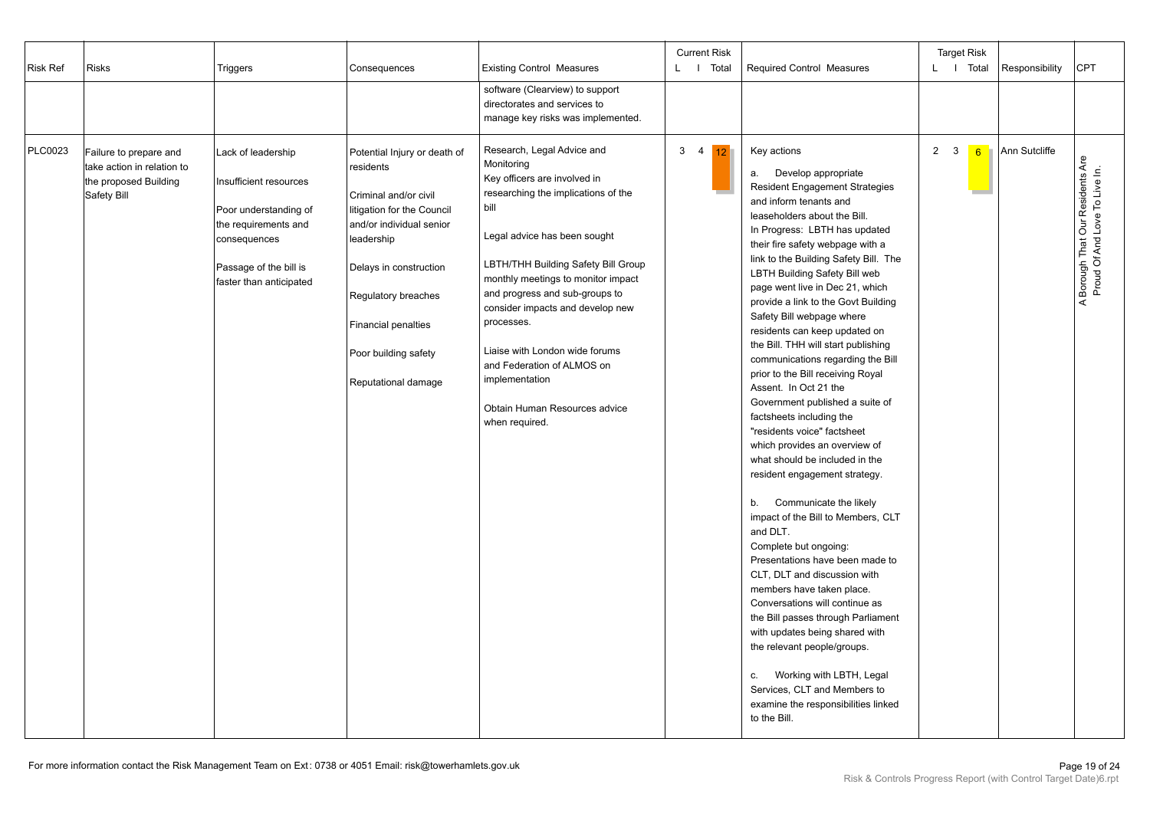| <b>Risk Ref</b> | <b>Risks</b>                                                                                 | Triggers                                                                                                                                                           | Consequences                                                                                                                                                                                                                                                             | <b>Existing Control Measures</b>                                                                                                                                                                                                                                                                                                                                                                                                                              | <b>Current Risk</b><br>L   Total | <b>Required Control Measures</b>                                                                                                                                                                                                                                                                                                                                                                                                                                                                                                                                                                                                                                                                                                                                                                                                                                                                                                                                                                                                                                                                                                                                                                                                                                   | <b>Target Risk</b><br>L I Total<br>Responsibility | <b>CPT</b>                                                        |
|-----------------|----------------------------------------------------------------------------------------------|--------------------------------------------------------------------------------------------------------------------------------------------------------------------|--------------------------------------------------------------------------------------------------------------------------------------------------------------------------------------------------------------------------------------------------------------------------|---------------------------------------------------------------------------------------------------------------------------------------------------------------------------------------------------------------------------------------------------------------------------------------------------------------------------------------------------------------------------------------------------------------------------------------------------------------|----------------------------------|--------------------------------------------------------------------------------------------------------------------------------------------------------------------------------------------------------------------------------------------------------------------------------------------------------------------------------------------------------------------------------------------------------------------------------------------------------------------------------------------------------------------------------------------------------------------------------------------------------------------------------------------------------------------------------------------------------------------------------------------------------------------------------------------------------------------------------------------------------------------------------------------------------------------------------------------------------------------------------------------------------------------------------------------------------------------------------------------------------------------------------------------------------------------------------------------------------------------------------------------------------------------|---------------------------------------------------|-------------------------------------------------------------------|
|                 |                                                                                              |                                                                                                                                                                    |                                                                                                                                                                                                                                                                          | software (Clearview) to support<br>directorates and services to<br>manage key risks was implemented.                                                                                                                                                                                                                                                                                                                                                          |                                  |                                                                                                                                                                                                                                                                                                                                                                                                                                                                                                                                                                                                                                                                                                                                                                                                                                                                                                                                                                                                                                                                                                                                                                                                                                                                    |                                                   |                                                                   |
| PLC0023         | Failure to prepare and<br>take action in relation to<br>the proposed Building<br>Safety Bill | Lack of leadership<br>Insufficient resources<br>Poor understanding of<br>the requirements and<br>consequences<br>Passage of the bill is<br>faster than anticipated | Potential Injury or death of<br>residents<br>Criminal and/or civil<br>litigation for the Council<br>and/or individual senior<br>leadership<br>Delays in construction<br>Regulatory breaches<br><b>Financial penalties</b><br>Poor building safety<br>Reputational damage | Research, Legal Advice and<br>Monitoring<br>Key officers are involved in<br>researching the implications of the<br>bill<br>Legal advice has been sought<br>LBTH/THH Building Safety Bill Group<br>monthly meetings to monitor impact<br>and progress and sub-groups to<br>consider impacts and develop new<br>processes.<br>Liaise with London wide forums<br>and Federation of ALMOS on<br>implementation<br>Obtain Human Resources advice<br>when required. | 3 <sub>4</sub><br>12             | Key actions<br>Develop appropriate<br>а.<br><b>Resident Engagement Strategies</b><br>and inform tenants and<br>leaseholders about the Bill.<br>In Progress: LBTH has updated<br>their fire safety webpage with a<br>link to the Building Safety Bill. The<br><b>LBTH Building Safety Bill web</b><br>page went live in Dec 21, which<br>provide a link to the Govt Building<br>Safety Bill webpage where<br>residents can keep updated on<br>the Bill. THH will start publishing<br>communications regarding the Bill<br>prior to the Bill receiving Royal<br>Assent. In Oct 21 the<br>Government published a suite of<br>factsheets including the<br>"residents voice" factsheet<br>which provides an overview of<br>what should be included in the<br>resident engagement strategy.<br>Communicate the likely<br>b.<br>impact of the Bill to Members, CLT<br>and DLT.<br>Complete but ongoing:<br>Presentations have been made to<br>CLT, DLT and discussion with<br>members have taken place.<br>Conversations will continue as<br>the Bill passes through Parliament<br>with updates being shared with<br>the relevant people/groups.<br>Working with LBTH, Legal<br>C.<br>Services, CLT and Members to<br>examine the responsibilities linked<br>to the Bill. | $2 \quad 3$<br>Ann Sutcliffe<br>6                 | A Borough That Our Residents Are<br>Proud Of And Love To Live In. |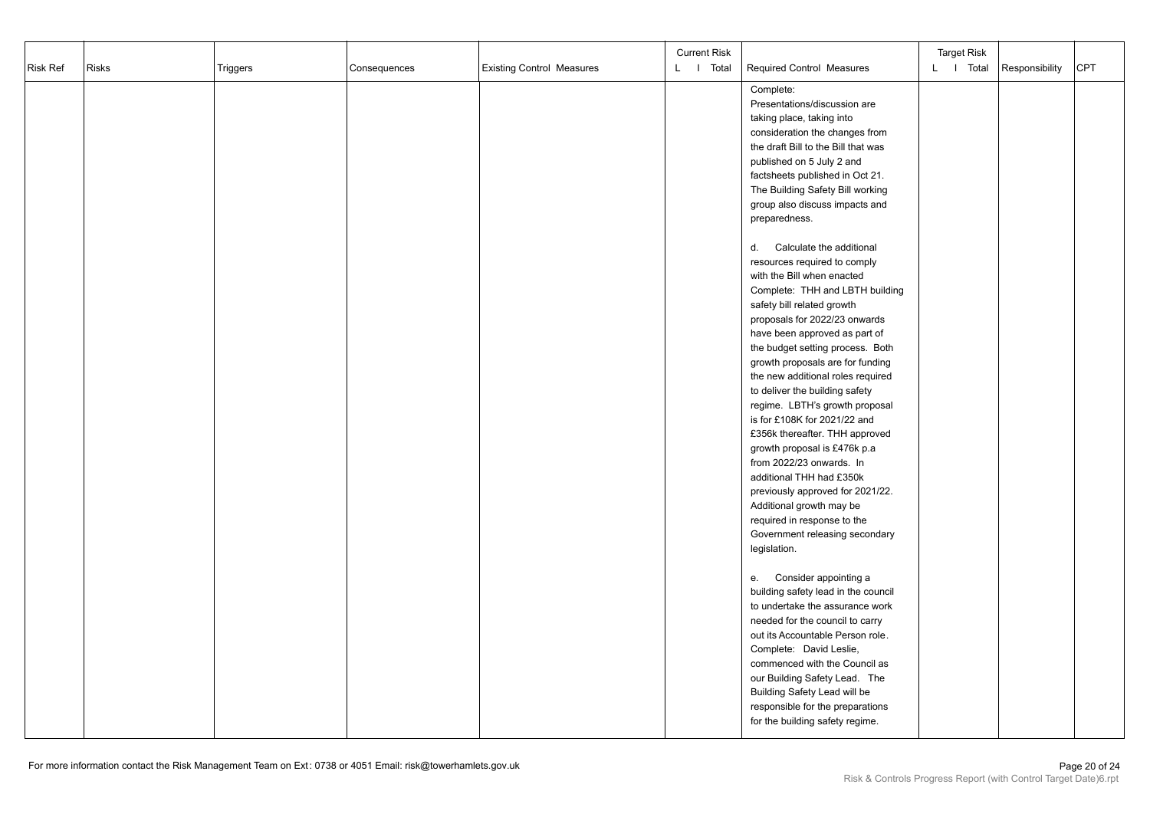| Risk Ref | <b>Risks</b> | Triggers | Consequences | <b>Existing Control Measures</b> | <b>Current Risk</b><br>L I Total | Required Control Measures                 | <b>Target Risk</b><br>L I Total | Responsibility | <b>CPT</b> |
|----------|--------------|----------|--------------|----------------------------------|----------------------------------|-------------------------------------------|---------------------------------|----------------|------------|
|          |              |          |              |                                  |                                  |                                           |                                 |                |            |
|          |              |          |              |                                  |                                  | Complete:<br>Presentations/discussion are |                                 |                |            |
|          |              |          |              |                                  |                                  | taking place, taking into                 |                                 |                |            |
|          |              |          |              |                                  |                                  | consideration the changes from            |                                 |                |            |
|          |              |          |              |                                  |                                  | the draft Bill to the Bill that was       |                                 |                |            |
|          |              |          |              |                                  |                                  | published on 5 July 2 and                 |                                 |                |            |
|          |              |          |              |                                  |                                  | factsheets published in Oct 21.           |                                 |                |            |
|          |              |          |              |                                  |                                  | The Building Safety Bill working          |                                 |                |            |
|          |              |          |              |                                  |                                  | group also discuss impacts and            |                                 |                |            |
|          |              |          |              |                                  |                                  | preparedness.                             |                                 |                |            |
|          |              |          |              |                                  |                                  |                                           |                                 |                |            |
|          |              |          |              |                                  |                                  | d.<br>Calculate the additional            |                                 |                |            |
|          |              |          |              |                                  |                                  | resources required to comply              |                                 |                |            |
|          |              |          |              |                                  |                                  | with the Bill when enacted                |                                 |                |            |
|          |              |          |              |                                  |                                  | Complete: THH and LBTH building           |                                 |                |            |
|          |              |          |              |                                  |                                  | safety bill related growth                |                                 |                |            |
|          |              |          |              |                                  |                                  | proposals for 2022/23 onwards             |                                 |                |            |
|          |              |          |              |                                  |                                  | have been approved as part of             |                                 |                |            |
|          |              |          |              |                                  |                                  | the budget setting process. Both          |                                 |                |            |
|          |              |          |              |                                  |                                  | growth proposals are for funding          |                                 |                |            |
|          |              |          |              |                                  |                                  | the new additional roles required         |                                 |                |            |
|          |              |          |              |                                  |                                  | to deliver the building safety            |                                 |                |            |
|          |              |          |              |                                  |                                  | regime. LBTH's growth proposal            |                                 |                |            |
|          |              |          |              |                                  |                                  | is for £108K for 2021/22 and              |                                 |                |            |
|          |              |          |              |                                  |                                  | £356k thereafter. THH approved            |                                 |                |            |
|          |              |          |              |                                  |                                  | growth proposal is £476k p.a              |                                 |                |            |
|          |              |          |              |                                  |                                  | from 2022/23 onwards. In                  |                                 |                |            |
|          |              |          |              |                                  |                                  | additional THH had £350k                  |                                 |                |            |
|          |              |          |              |                                  |                                  | previously approved for 2021/22.          |                                 |                |            |
|          |              |          |              |                                  |                                  | Additional growth may be                  |                                 |                |            |
|          |              |          |              |                                  |                                  | required in response to the               |                                 |                |            |
|          |              |          |              |                                  |                                  | Government releasing secondary            |                                 |                |            |
|          |              |          |              |                                  |                                  | legislation.                              |                                 |                |            |
|          |              |          |              |                                  |                                  | Consider appointing a<br>e.               |                                 |                |            |
|          |              |          |              |                                  |                                  | building safety lead in the council       |                                 |                |            |
|          |              |          |              |                                  |                                  | to undertake the assurance work           |                                 |                |            |
|          |              |          |              |                                  |                                  | needed for the council to carry           |                                 |                |            |
|          |              |          |              |                                  |                                  | out its Accountable Person role.          |                                 |                |            |
|          |              |          |              |                                  |                                  | Complete: David Leslie,                   |                                 |                |            |
|          |              |          |              |                                  |                                  | commenced with the Council as             |                                 |                |            |
|          |              |          |              |                                  |                                  | our Building Safety Lead. The             |                                 |                |            |
|          |              |          |              |                                  |                                  | Building Safety Lead will be              |                                 |                |            |
|          |              |          |              |                                  |                                  | responsible for the preparations          |                                 |                |            |
|          |              |          |              |                                  |                                  | for the building safety regime.           |                                 |                |            |
|          |              |          |              |                                  |                                  |                                           |                                 |                |            |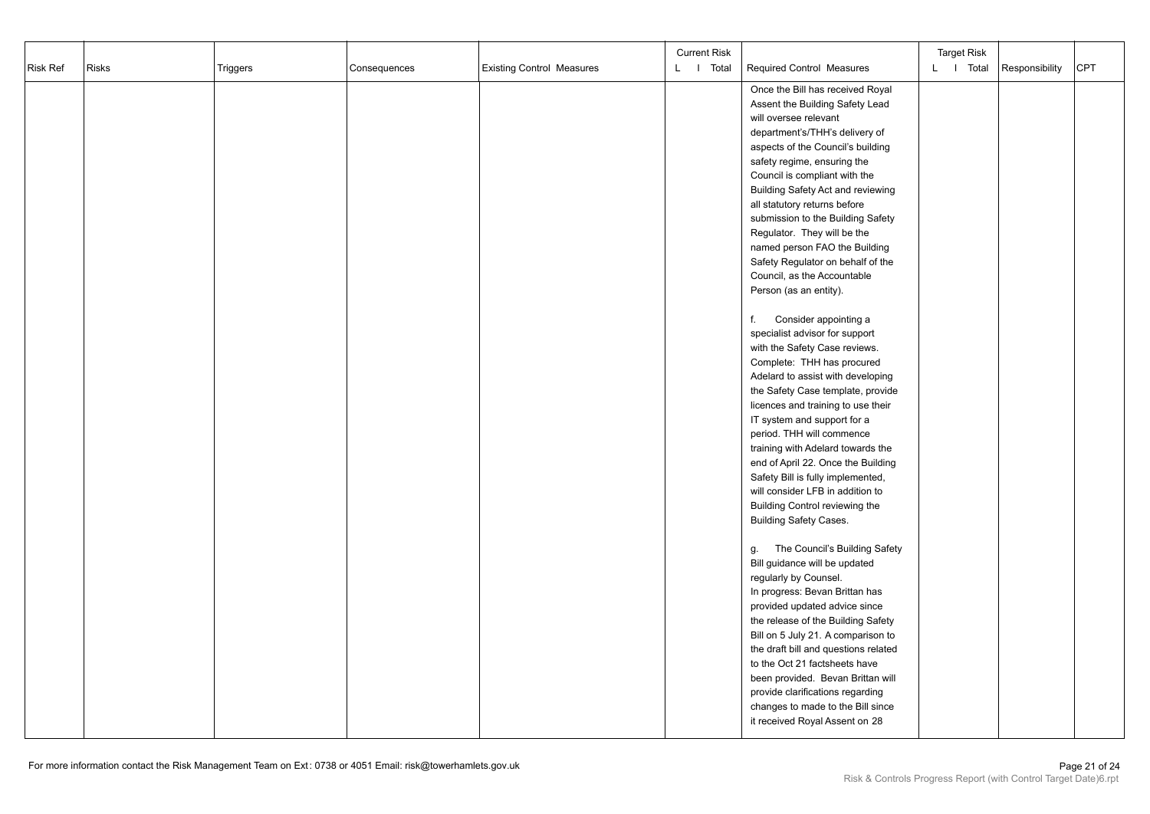| Risk Ref | <b>Risks</b> | Triggers | Consequences | <b>Existing Control Measures</b> | <b>Current Risk</b><br>L I Total | Required Control Measures            | <b>Target Risk</b><br>L I Total | Responsibility | CPT |
|----------|--------------|----------|--------------|----------------------------------|----------------------------------|--------------------------------------|---------------------------------|----------------|-----|
|          |              |          |              |                                  |                                  | Once the Bill has received Royal     |                                 |                |     |
|          |              |          |              |                                  |                                  | Assent the Building Safety Lead      |                                 |                |     |
|          |              |          |              |                                  |                                  | will oversee relevant                |                                 |                |     |
|          |              |          |              |                                  |                                  | department's/THH's delivery of       |                                 |                |     |
|          |              |          |              |                                  |                                  | aspects of the Council's building    |                                 |                |     |
|          |              |          |              |                                  |                                  | safety regime, ensuring the          |                                 |                |     |
|          |              |          |              |                                  |                                  | Council is compliant with the        |                                 |                |     |
|          |              |          |              |                                  |                                  | Building Safety Act and reviewing    |                                 |                |     |
|          |              |          |              |                                  |                                  | all statutory returns before         |                                 |                |     |
|          |              |          |              |                                  |                                  | submission to the Building Safety    |                                 |                |     |
|          |              |          |              |                                  |                                  | Regulator. They will be the          |                                 |                |     |
|          |              |          |              |                                  |                                  | named person FAO the Building        |                                 |                |     |
|          |              |          |              |                                  |                                  | Safety Regulator on behalf of the    |                                 |                |     |
|          |              |          |              |                                  |                                  | Council, as the Accountable          |                                 |                |     |
|          |              |          |              |                                  |                                  | Person (as an entity).               |                                 |                |     |
|          |              |          |              |                                  |                                  |                                      |                                 |                |     |
|          |              |          |              |                                  |                                  | Consider appointing a<br>f.          |                                 |                |     |
|          |              |          |              |                                  |                                  | specialist advisor for support       |                                 |                |     |
|          |              |          |              |                                  |                                  | with the Safety Case reviews.        |                                 |                |     |
|          |              |          |              |                                  |                                  | Complete: THH has procured           |                                 |                |     |
|          |              |          |              |                                  |                                  | Adelard to assist with developing    |                                 |                |     |
|          |              |          |              |                                  |                                  | the Safety Case template, provide    |                                 |                |     |
|          |              |          |              |                                  |                                  | licences and training to use their   |                                 |                |     |
|          |              |          |              |                                  |                                  | IT system and support for a          |                                 |                |     |
|          |              |          |              |                                  |                                  | period. THH will commence            |                                 |                |     |
|          |              |          |              |                                  |                                  | training with Adelard towards the    |                                 |                |     |
|          |              |          |              |                                  |                                  | end of April 22. Once the Building   |                                 |                |     |
|          |              |          |              |                                  |                                  | Safety Bill is fully implemented,    |                                 |                |     |
|          |              |          |              |                                  |                                  | will consider LFB in addition to     |                                 |                |     |
|          |              |          |              |                                  |                                  | Building Control reviewing the       |                                 |                |     |
|          |              |          |              |                                  |                                  | <b>Building Safety Cases.</b>        |                                 |                |     |
|          |              |          |              |                                  |                                  |                                      |                                 |                |     |
|          |              |          |              |                                  |                                  | The Council's Building Safety<br>g.  |                                 |                |     |
|          |              |          |              |                                  |                                  | Bill guidance will be updated        |                                 |                |     |
|          |              |          |              |                                  |                                  | regularly by Counsel.                |                                 |                |     |
|          |              |          |              |                                  |                                  | In progress: Bevan Brittan has       |                                 |                |     |
|          |              |          |              |                                  |                                  | provided updated advice since        |                                 |                |     |
|          |              |          |              |                                  |                                  | the release of the Building Safety   |                                 |                |     |
|          |              |          |              |                                  |                                  | Bill on 5 July 21. A comparison to   |                                 |                |     |
|          |              |          |              |                                  |                                  | the draft bill and questions related |                                 |                |     |
|          |              |          |              |                                  |                                  | to the Oct 21 factsheets have        |                                 |                |     |
|          |              |          |              |                                  |                                  | been provided. Bevan Brittan will    |                                 |                |     |
|          |              |          |              |                                  |                                  | provide clarifications regarding     |                                 |                |     |
|          |              |          |              |                                  |                                  | changes to made to the Bill since    |                                 |                |     |
|          |              |          |              |                                  |                                  | it received Royal Assent on 28       |                                 |                |     |
|          |              |          |              |                                  |                                  |                                      |                                 |                |     |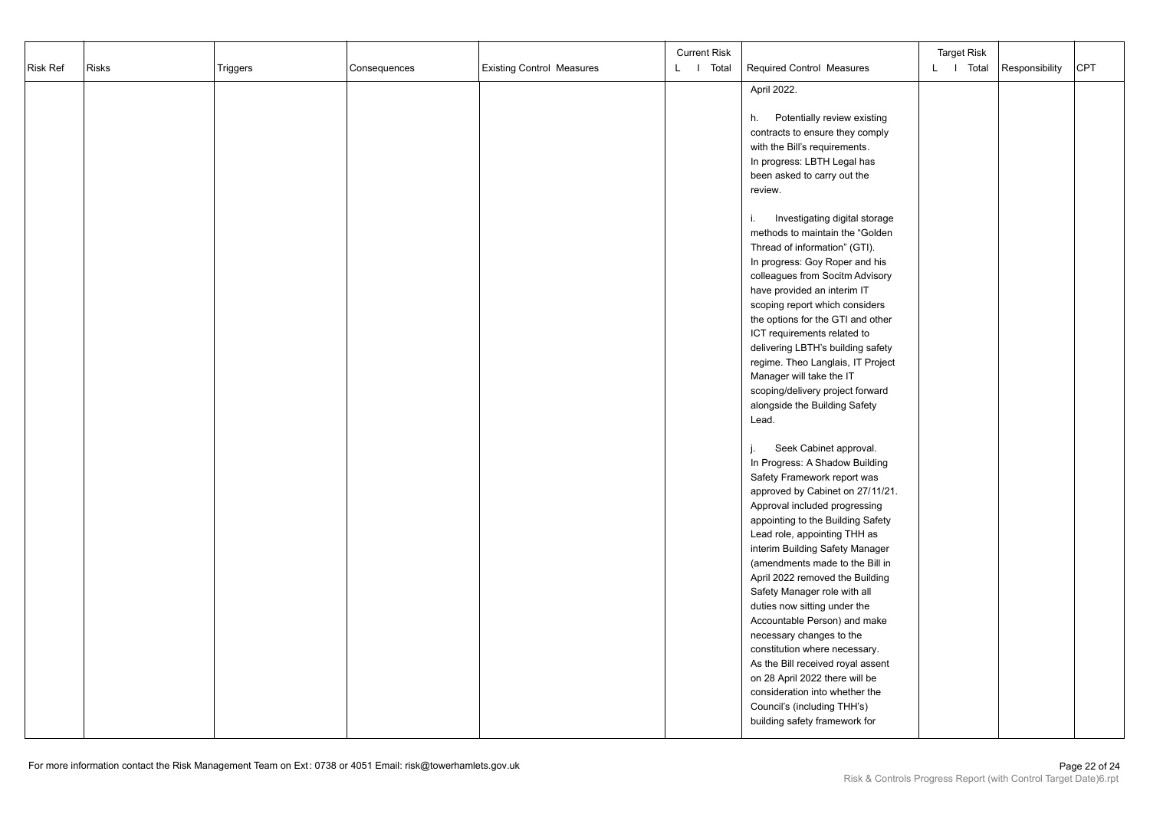|          | <b>Risks</b> |          |              |                                  | <b>Current Risk</b> |                                                                 | <b>Target Risk</b> |                | CPT |
|----------|--------------|----------|--------------|----------------------------------|---------------------|-----------------------------------------------------------------|--------------------|----------------|-----|
| Risk Ref |              | Triggers | Consequences | <b>Existing Control Measures</b> | L I Total           | Required Control Measures                                       | L I Total          | Responsibility |     |
|          |              |          |              |                                  |                     | April 2022.                                                     |                    |                |     |
|          |              |          |              |                                  |                     |                                                                 |                    |                |     |
|          |              |          |              |                                  |                     | Potentially review existing<br>h.                               |                    |                |     |
|          |              |          |              |                                  |                     | contracts to ensure they comply                                 |                    |                |     |
|          |              |          |              |                                  |                     | with the Bill's requirements.                                   |                    |                |     |
|          |              |          |              |                                  |                     | In progress: LBTH Legal has                                     |                    |                |     |
|          |              |          |              |                                  |                     | been asked to carry out the                                     |                    |                |     |
|          |              |          |              |                                  |                     | review.                                                         |                    |                |     |
|          |              |          |              |                                  |                     | Investigating digital storage<br>i.                             |                    |                |     |
|          |              |          |              |                                  |                     | methods to maintain the "Golden                                 |                    |                |     |
|          |              |          |              |                                  |                     | Thread of information" (GTI).                                   |                    |                |     |
|          |              |          |              |                                  |                     | In progress: Goy Roper and his                                  |                    |                |     |
|          |              |          |              |                                  |                     | colleagues from Socitm Advisory                                 |                    |                |     |
|          |              |          |              |                                  |                     | have provided an interim IT                                     |                    |                |     |
|          |              |          |              |                                  |                     | scoping report which considers                                  |                    |                |     |
|          |              |          |              |                                  |                     | the options for the GTI and other                               |                    |                |     |
|          |              |          |              |                                  |                     | ICT requirements related to                                     |                    |                |     |
|          |              |          |              |                                  |                     | delivering LBTH's building safety                               |                    |                |     |
|          |              |          |              |                                  |                     | regime. Theo Langlais, IT Project<br>Manager will take the IT   |                    |                |     |
|          |              |          |              |                                  |                     | scoping/delivery project forward                                |                    |                |     |
|          |              |          |              |                                  |                     | alongside the Building Safety                                   |                    |                |     |
|          |              |          |              |                                  |                     | Lead.                                                           |                    |                |     |
|          |              |          |              |                                  |                     |                                                                 |                    |                |     |
|          |              |          |              |                                  |                     | Seek Cabinet approval.<br>j.                                    |                    |                |     |
|          |              |          |              |                                  |                     | In Progress: A Shadow Building                                  |                    |                |     |
|          |              |          |              |                                  |                     | Safety Framework report was                                     |                    |                |     |
|          |              |          |              |                                  |                     | approved by Cabinet on 27/11/21.                                |                    |                |     |
|          |              |          |              |                                  |                     | Approval included progressing                                   |                    |                |     |
|          |              |          |              |                                  |                     | appointing to the Building Safety                               |                    |                |     |
|          |              |          |              |                                  |                     | Lead role, appointing THH as                                    |                    |                |     |
|          |              |          |              |                                  |                     | interim Building Safety Manager                                 |                    |                |     |
|          |              |          |              |                                  |                     | (amendments made to the Bill in                                 |                    |                |     |
|          |              |          |              |                                  |                     | April 2022 removed the Building<br>Safety Manager role with all |                    |                |     |
|          |              |          |              |                                  |                     | duties now sitting under the                                    |                    |                |     |
|          |              |          |              |                                  |                     | Accountable Person) and make                                    |                    |                |     |
|          |              |          |              |                                  |                     | necessary changes to the                                        |                    |                |     |
|          |              |          |              |                                  |                     | constitution where necessary.                                   |                    |                |     |
|          |              |          |              |                                  |                     | As the Bill received royal assent                               |                    |                |     |
|          |              |          |              |                                  |                     | on 28 April 2022 there will be                                  |                    |                |     |
|          |              |          |              |                                  |                     | consideration into whether the                                  |                    |                |     |
|          |              |          |              |                                  |                     | Council's (including THH's)                                     |                    |                |     |
|          |              |          |              |                                  |                     | building safety framework for                                   |                    |                |     |
|          |              |          |              |                                  |                     |                                                                 |                    |                |     |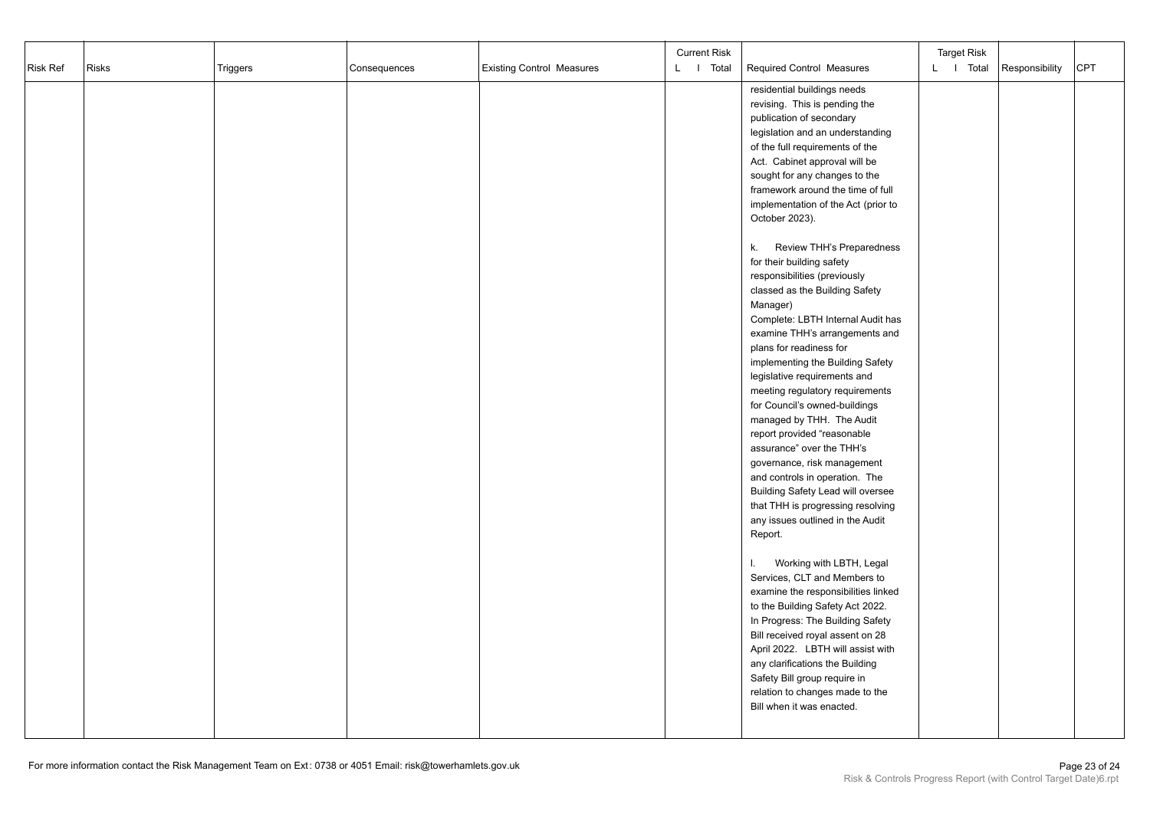|          |              |          |              |                                  | <b>Current Risk</b> |                                                                                                                                                                                                                                                                                                                                                                                                                                                                                                                                                                                                                                                                                                                                                                                                                                                                                                                                                                                                                                              | <b>Target Risk</b> |                |            |
|----------|--------------|----------|--------------|----------------------------------|---------------------|----------------------------------------------------------------------------------------------------------------------------------------------------------------------------------------------------------------------------------------------------------------------------------------------------------------------------------------------------------------------------------------------------------------------------------------------------------------------------------------------------------------------------------------------------------------------------------------------------------------------------------------------------------------------------------------------------------------------------------------------------------------------------------------------------------------------------------------------------------------------------------------------------------------------------------------------------------------------------------------------------------------------------------------------|--------------------|----------------|------------|
| Risk Ref | <b>Risks</b> | Triggers | Consequences | <b>Existing Control Measures</b> | L I Total           | Required Control Measures                                                                                                                                                                                                                                                                                                                                                                                                                                                                                                                                                                                                                                                                                                                                                                                                                                                                                                                                                                                                                    | L I Total          | Responsibility | <b>CPT</b> |
|          |              |          |              |                                  |                     | residential buildings needs<br>revising. This is pending the<br>publication of secondary<br>legislation and an understanding<br>of the full requirements of the<br>Act. Cabinet approval will be<br>sought for any changes to the<br>framework around the time of full<br>implementation of the Act (prior to<br>October 2023).<br>Review THH's Preparedness<br>k.<br>for their building safety<br>responsibilities (previously<br>classed as the Building Safety<br>Manager)<br>Complete: LBTH Internal Audit has<br>examine THH's arrangements and<br>plans for readiness for<br>implementing the Building Safety<br>legislative requirements and<br>meeting regulatory requirements<br>for Council's owned-buildings<br>managed by THH. The Audit<br>report provided "reasonable<br>assurance" over the THH's<br>governance, risk management<br>and controls in operation. The<br>Building Safety Lead will oversee<br>that THH is progressing resolving<br>any issues outlined in the Audit<br>Report.<br>Working with LBTH, Legal<br>L. |                    |                |            |
|          |              |          |              |                                  |                     | Services, CLT and Members to<br>examine the responsibilities linked<br>to the Building Safety Act 2022.<br>In Progress: The Building Safety<br>Bill received royal assent on 28<br>April 2022. LBTH will assist with<br>any clarifications the Building                                                                                                                                                                                                                                                                                                                                                                                                                                                                                                                                                                                                                                                                                                                                                                                      |                    |                |            |
|          |              |          |              |                                  |                     | Safety Bill group require in<br>relation to changes made to the<br>Bill when it was enacted.                                                                                                                                                                                                                                                                                                                                                                                                                                                                                                                                                                                                                                                                                                                                                                                                                                                                                                                                                 |                    |                |            |